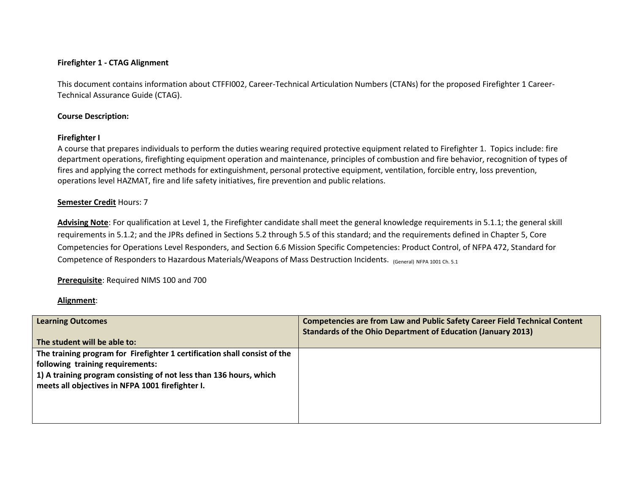### **Firefighter 1 - CTAG Alignment**

This document contains information about CTFFI002, Career-Technical Articulation Numbers (CTANs) for the proposed Firefighter 1 Career-Technical Assurance Guide (CTAG).

#### **Course Description:**

### **Firefighter I**

A course that prepares individuals to perform the duties wearing required protective equipment related to Firefighter 1. Topics include: fire department operations, firefighting equipment operation and maintenance, principles of combustion and fire behavior, recognition of types of fires and applying the correct methods for extinguishment, personal protective equipment, ventilation, forcible entry, loss prevention, operations level HAZMAT, fire and life safety initiatives, fire prevention and public relations.

### **Semester Credit** Hours: 7

**Advising Note**: For qualification at Level 1, the Firefighter candidate shall meet the general knowledge requirements in 5.1.1; the general skill requirements in 5.1.2; and the JPRs defined in Sections 5.2 through 5.5 of this standard; and the requirements defined in Chapter 5, Core Competencies for Operations Level Responders, and Section 6.6 Mission Specific Competencies: Product Control, of NFPA 472, Standard for Competence of Responders to Hazardous Materials/Weapons of Mass Destruction Incidents. (General) NFPA 1001 Ch. 5.1

**Prerequisite**: Required NIMS 100 and 700

## **Alignment**:

| <b>Learning Outcomes</b>                                                  | <b>Competencies are from Law and Public Safety Career Field Technical Content</b><br><b>Standards of the Ohio Department of Education (January 2013)</b> |
|---------------------------------------------------------------------------|----------------------------------------------------------------------------------------------------------------------------------------------------------|
| The student will be able to:                                              |                                                                                                                                                          |
| The training program for Firefighter 1 certification shall consist of the |                                                                                                                                                          |
| following training requirements:                                          |                                                                                                                                                          |
| 1) A training program consisting of not less than 136 hours, which        |                                                                                                                                                          |
| meets all objectives in NFPA 1001 firefighter I.                          |                                                                                                                                                          |
|                                                                           |                                                                                                                                                          |
|                                                                           |                                                                                                                                                          |
|                                                                           |                                                                                                                                                          |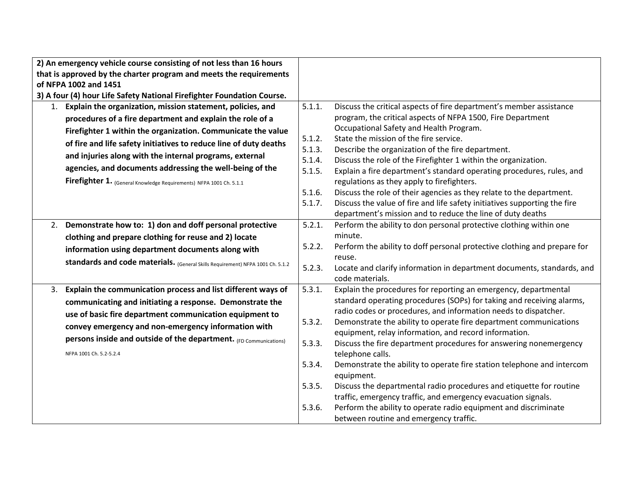|                                                                    | 2) An emergency vehicle course consisting of not less than 16 hours            |        |                                                                                                                    |
|--------------------------------------------------------------------|--------------------------------------------------------------------------------|--------|--------------------------------------------------------------------------------------------------------------------|
| that is approved by the charter program and meets the requirements |                                                                                |        |                                                                                                                    |
|                                                                    | of NFPA 1002 and 1451                                                          |        |                                                                                                                    |
|                                                                    | 3) A four (4) hour Life Safety National Firefighter Foundation Course.         |        |                                                                                                                    |
|                                                                    | 1. Explain the organization, mission statement, policies, and                  | 5.1.1. | Discuss the critical aspects of fire department's member assistance                                                |
|                                                                    | procedures of a fire department and explain the role of a                      |        | program, the critical aspects of NFPA 1500, Fire Department                                                        |
|                                                                    | Firefighter 1 within the organization. Communicate the value                   |        | Occupational Safety and Health Program.                                                                            |
|                                                                    | of fire and life safety initiatives to reduce line of duty deaths              | 5.1.2. | State the mission of the fire service.                                                                             |
|                                                                    | and injuries along with the internal programs, external                        | 5.1.3. | Describe the organization of the fire department.                                                                  |
|                                                                    | agencies, and documents addressing the well-being of the                       | 5.1.4. | Discuss the role of the Firefighter 1 within the organization.                                                     |
|                                                                    |                                                                                | 5.1.5. | Explain a fire department's standard operating procedures, rules, and                                              |
|                                                                    | Firefighter 1. (General Knowledge Requirements) NFPA 1001 Ch. 5.1.1            | 5.1.6. | regulations as they apply to firefighters.<br>Discuss the role of their agencies as they relate to the department. |
|                                                                    |                                                                                | 5.1.7. | Discuss the value of fire and life safety initiatives supporting the fire                                          |
|                                                                    |                                                                                |        | department's mission and to reduce the line of duty deaths                                                         |
|                                                                    | 2. Demonstrate how to: 1) don and doff personal protective                     | 5.2.1. | Perform the ability to don personal protective clothing within one                                                 |
|                                                                    | clothing and prepare clothing for reuse and 2) locate                          |        | minute.                                                                                                            |
|                                                                    |                                                                                | 5.2.2. | Perform the ability to doff personal protective clothing and prepare for                                           |
|                                                                    | information using department documents along with                              |        | reuse.                                                                                                             |
|                                                                    | standards and code materials. (General Skills Requirement) NFPA 1001 Ch. 5.1.2 | 5.2.3. | Locate and clarify information in department documents, standards, and                                             |
|                                                                    |                                                                                |        | code materials.                                                                                                    |
|                                                                    | 3. Explain the communication process and list different ways of                | 5.3.1. | Explain the procedures for reporting an emergency, departmental                                                    |
|                                                                    | communicating and initiating a response. Demonstrate the                       |        | standard operating procedures (SOPs) for taking and receiving alarms,                                              |
|                                                                    | use of basic fire department communication equipment to                        |        | radio codes or procedures, and information needs to dispatcher.                                                    |
|                                                                    | convey emergency and non-emergency information with                            | 5.3.2. | Demonstrate the ability to operate fire department communications                                                  |
|                                                                    | persons inside and outside of the department. (FD Communications)              |        | equipment, relay information, and record information.                                                              |
|                                                                    |                                                                                | 5.3.3. | Discuss the fire department procedures for answering nonemergency                                                  |
|                                                                    | NFPA 1001 Ch. 5.2-5.2.4                                                        |        | telephone calls.                                                                                                   |
|                                                                    |                                                                                | 5.3.4. | Demonstrate the ability to operate fire station telephone and intercom                                             |
|                                                                    |                                                                                |        | equipment.                                                                                                         |
|                                                                    |                                                                                | 5.3.5. | Discuss the departmental radio procedures and etiquette for routine                                                |
|                                                                    |                                                                                | 5.3.6. | traffic, emergency traffic, and emergency evacuation signals.                                                      |
|                                                                    |                                                                                |        | Perform the ability to operate radio equipment and discriminate                                                    |
|                                                                    |                                                                                |        | between routine and emergency traffic.                                                                             |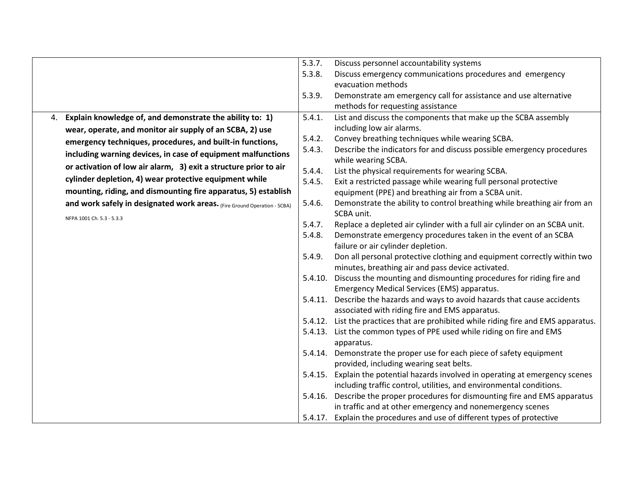|    |                                                                          | 5.3.7. | Discuss personnel accountability systems                                                                                     |
|----|--------------------------------------------------------------------------|--------|------------------------------------------------------------------------------------------------------------------------------|
|    |                                                                          | 5.3.8. | Discuss emergency communications procedures and emergency                                                                    |
|    |                                                                          |        | evacuation methods                                                                                                           |
|    |                                                                          | 5.3.9. | Demonstrate am emergency call for assistance and use alternative                                                             |
|    |                                                                          |        | methods for requesting assistance                                                                                            |
| 4. | Explain knowledge of, and demonstrate the ability to: 1)                 | 5.4.1. | List and discuss the components that make up the SCBA assembly                                                               |
|    | wear, operate, and monitor air supply of an SCBA, 2) use                 |        | including low air alarms.                                                                                                    |
|    | emergency techniques, procedures, and built-in functions,                | 5.4.2. | Convey breathing techniques while wearing SCBA.                                                                              |
|    | including warning devices, in case of equipment malfunctions             | 5.4.3. | Describe the indicators for and discuss possible emergency procedures<br>while wearing SCBA.                                 |
|    | or activation of low air alarm, 3) exit a structure prior to air         | 5.4.4. | List the physical requirements for wearing SCBA.                                                                             |
|    | cylinder depletion, 4) wear protective equipment while                   | 5.4.5. | Exit a restricted passage while wearing full personal protective                                                             |
|    | mounting, riding, and dismounting fire apparatus, 5) establish           |        | equipment (PPE) and breathing air from a SCBA unit.                                                                          |
|    | and work safely in designated work areas. (Fire Ground Operation - SCBA) | 5.4.6. | Demonstrate the ability to control breathing while breathing air from an<br>SCBA unit.                                       |
|    | NFPA 1001 Ch. 5.3 - 5.3.3                                                | 5.4.7. | Replace a depleted air cylinder with a full air cylinder on an SCBA unit.                                                    |
|    |                                                                          | 5.4.8. | Demonstrate emergency procedures taken in the event of an SCBA                                                               |
|    |                                                                          |        | failure or air cylinder depletion.                                                                                           |
|    |                                                                          | 5.4.9. | Don all personal protective clothing and equipment correctly within two<br>minutes, breathing air and pass device activated. |
|    |                                                                          |        | 5.4.10. Discuss the mounting and dismounting procedures for riding fire and<br>Emergency Medical Services (EMS) apparatus.   |
|    |                                                                          |        | 5.4.11. Describe the hazards and ways to avoid hazards that cause accidents                                                  |
|    |                                                                          |        | associated with riding fire and EMS apparatus.                                                                               |
|    |                                                                          |        | 5.4.12. List the practices that are prohibited while riding fire and EMS apparatus.                                          |
|    |                                                                          |        | 5.4.13. List the common types of PPE used while riding on fire and EMS<br>apparatus.                                         |
|    |                                                                          |        | 5.4.14. Demonstrate the proper use for each piece of safety equipment                                                        |
|    |                                                                          |        | provided, including wearing seat belts.                                                                                      |
|    |                                                                          |        | 5.4.15. Explain the potential hazards involved in operating at emergency scenes                                              |
|    |                                                                          |        | including traffic control, utilities, and environmental conditions.                                                          |
|    |                                                                          |        | 5.4.16. Describe the proper procedures for dismounting fire and EMS apparatus                                                |
|    |                                                                          |        | in traffic and at other emergency and nonemergency scenes                                                                    |
|    |                                                                          |        | 5.4.17. Explain the procedures and use of different types of protective                                                      |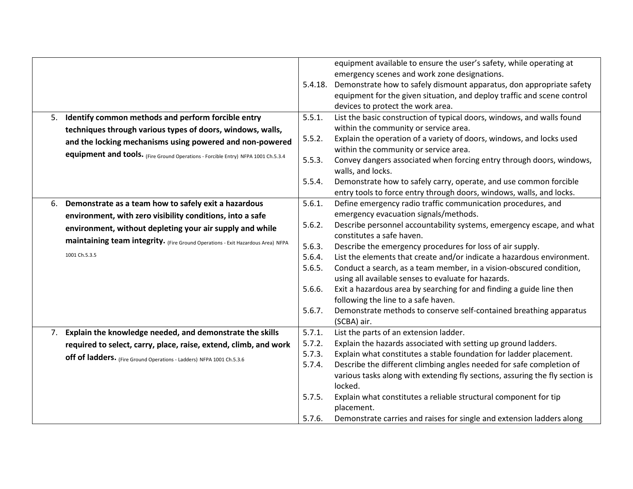|                                                                                   |         | equipment available to ensure the user's safety, while operating at          |
|-----------------------------------------------------------------------------------|---------|------------------------------------------------------------------------------|
|                                                                                   |         | emergency scenes and work zone designations.                                 |
|                                                                                   | 5.4.18. | Demonstrate how to safely dismount apparatus, don appropriate safety         |
|                                                                                   |         | equipment for the given situation, and deploy traffic and scene control      |
|                                                                                   |         |                                                                              |
|                                                                                   |         | devices to protect the work area.                                            |
| 5. Identify common methods and perform forcible entry                             | 5.5.1.  | List the basic construction of typical doors, windows, and walls found       |
| techniques through various types of doors, windows, walls,                        |         | within the community or service area.                                        |
| and the locking mechanisms using powered and non-powered                          | 5.5.2.  | Explain the operation of a variety of doors, windows, and locks used         |
| equipment and tools. (Fire Ground Operations - Forcible Entry) NFPA 1001 Ch.5.3.4 |         | within the community or service area.                                        |
|                                                                                   | 5.5.3.  | Convey dangers associated when forcing entry through doors, windows,         |
|                                                                                   |         | walls, and locks.                                                            |
|                                                                                   | 5.5.4.  | Demonstrate how to safely carry, operate, and use common forcible            |
|                                                                                   |         | entry tools to force entry through doors, windows, walls, and locks.         |
| 6. Demonstrate as a team how to safely exit a hazardous                           | 5.6.1.  | Define emergency radio traffic communication procedures, and                 |
| environment, with zero visibility conditions, into a safe                         |         | emergency evacuation signals/methods.                                        |
| environment, without depleting your air supply and while                          | 5.6.2.  | Describe personnel accountability systems, emergency escape, and what        |
| maintaining team integrity. (Fire Ground Operations - Exit Hazardous Area) NFPA   |         | constitutes a safe haven.                                                    |
|                                                                                   | 5.6.3.  | Describe the emergency procedures for loss of air supply.                    |
| 1001 Ch.5.3.5                                                                     | 5.6.4.  | List the elements that create and/or indicate a hazardous environment.       |
|                                                                                   | 5.6.5.  | Conduct a search, as a team member, in a vision-obscured condition,          |
|                                                                                   |         | using all available senses to evaluate for hazards.                          |
|                                                                                   | 5.6.6.  | Exit a hazardous area by searching for and finding a guide line then         |
|                                                                                   |         | following the line to a safe haven.                                          |
|                                                                                   | 5.6.7.  | Demonstrate methods to conserve self-contained breathing apparatus           |
|                                                                                   |         | (SCBA) air.                                                                  |
| 7. Explain the knowledge needed, and demonstrate the skills                       | 5.7.1.  | List the parts of an extension ladder.                                       |
| required to select, carry, place, raise, extend, climb, and work                  | 5.7.2.  | Explain the hazards associated with setting up ground ladders.               |
| <b>off of ladders.</b> (Fire Ground Operations - Ladders) NFPA 1001 Ch.5.3.6      | 5.7.3.  | Explain what constitutes a stable foundation for ladder placement.           |
|                                                                                   | 5.7.4.  | Describe the different climbing angles needed for safe completion of         |
|                                                                                   |         | various tasks along with extending fly sections, assuring the fly section is |
|                                                                                   |         | locked.                                                                      |
|                                                                                   | 5.7.5.  | Explain what constitutes a reliable structural component for tip             |
|                                                                                   |         | placement.                                                                   |
|                                                                                   | 5.7.6.  | Demonstrate carries and raises for single and extension ladders along        |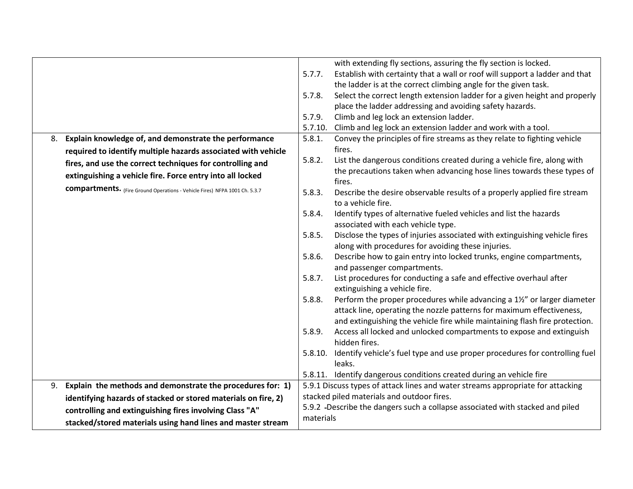| with extending fly sections, assuring the fly section is locked.<br>Establish with certainty that a wall or roof will support a ladder and that<br>5.7.7.<br>the ladder is at the correct climbing angle for the given task.<br>Select the correct length extension ladder for a given height and properly<br>5.7.8.<br>place the ladder addressing and avoiding safety hazards.<br>Climb and leg lock an extension ladder.<br>5.7.9.<br>Climb and leg lock an extension ladder and work with a tool.<br>5.7.10.<br>Explain knowledge of, and demonstrate the performance<br>5.8.1.<br>Convey the principles of fire streams as they relate to fighting vehicle<br>8.<br>fires.<br>required to identify multiple hazards associated with vehicle<br>5.8.2.<br>List the dangerous conditions created during a vehicle fire, along with<br>fires, and use the correct techniques for controlling and<br>the precautions taken when advancing hose lines towards these types of<br>extinguishing a vehicle fire. Force entry into all locked<br>fires.<br><b>compartments.</b> (Fire Ground Operations - Vehicle Fires) NFPA 1001 Ch. 5.3.7<br>5.8.3.<br>Describe the desire observable results of a properly applied fire stream<br>to a vehicle fire.<br>Identify types of alternative fueled vehicles and list the hazards<br>5.8.4.<br>associated with each vehicle type.<br>5.8.5.<br>Disclose the types of injuries associated with extinguishing vehicle fires<br>along with procedures for avoiding these injuries.<br>Describe how to gain entry into locked trunks, engine compartments,<br>5.8.6.<br>and passenger compartments.<br>List procedures for conducting a safe and effective overhaul after<br>5.8.7.<br>extinguishing a vehicle fire.<br>Perform the proper procedures while advancing a 11/2" or larger diameter<br>5.8.8.<br>attack line, operating the nozzle patterns for maximum effectiveness,<br>and extinguishing the vehicle fire while maintaining flash fire protection.<br>Access all locked and unlocked compartments to expose and extinguish<br>5.8.9.<br>hidden fires.<br>Identify vehicle's fuel type and use proper procedures for controlling fuel<br>5.8.10.<br>leaks.<br>5.8.11. Identify dangerous conditions created during an vehicle fire<br>9. Explain the methods and demonstrate the procedures for: 1)<br>5.9.1 Discuss types of attack lines and water streams appropriate for attacking<br>stacked piled materials and outdoor fires.<br>identifying hazards of stacked or stored materials on fire, 2)<br>5.9.2 -Describe the dangers such a collapse associated with stacked and piled<br>controlling and extinguishing fires involving Class "A"<br>materials<br>stacked/stored materials using hand lines and master stream |  |  |  |
|------------------------------------------------------------------------------------------------------------------------------------------------------------------------------------------------------------------------------------------------------------------------------------------------------------------------------------------------------------------------------------------------------------------------------------------------------------------------------------------------------------------------------------------------------------------------------------------------------------------------------------------------------------------------------------------------------------------------------------------------------------------------------------------------------------------------------------------------------------------------------------------------------------------------------------------------------------------------------------------------------------------------------------------------------------------------------------------------------------------------------------------------------------------------------------------------------------------------------------------------------------------------------------------------------------------------------------------------------------------------------------------------------------------------------------------------------------------------------------------------------------------------------------------------------------------------------------------------------------------------------------------------------------------------------------------------------------------------------------------------------------------------------------------------------------------------------------------------------------------------------------------------------------------------------------------------------------------------------------------------------------------------------------------------------------------------------------------------------------------------------------------------------------------------------------------------------------------------------------------------------------------------------------------------------------------------------------------------------------------------------------------------------------------------------------------------------------------------------------------------------------------------------------------------------------------------------------------------------------------------------------------------------------------------------------------------------------------------------------------------------------------------------------|--|--|--|
|                                                                                                                                                                                                                                                                                                                                                                                                                                                                                                                                                                                                                                                                                                                                                                                                                                                                                                                                                                                                                                                                                                                                                                                                                                                                                                                                                                                                                                                                                                                                                                                                                                                                                                                                                                                                                                                                                                                                                                                                                                                                                                                                                                                                                                                                                                                                                                                                                                                                                                                                                                                                                                                                                                                                                                                    |  |  |  |
|                                                                                                                                                                                                                                                                                                                                                                                                                                                                                                                                                                                                                                                                                                                                                                                                                                                                                                                                                                                                                                                                                                                                                                                                                                                                                                                                                                                                                                                                                                                                                                                                                                                                                                                                                                                                                                                                                                                                                                                                                                                                                                                                                                                                                                                                                                                                                                                                                                                                                                                                                                                                                                                                                                                                                                                    |  |  |  |
|                                                                                                                                                                                                                                                                                                                                                                                                                                                                                                                                                                                                                                                                                                                                                                                                                                                                                                                                                                                                                                                                                                                                                                                                                                                                                                                                                                                                                                                                                                                                                                                                                                                                                                                                                                                                                                                                                                                                                                                                                                                                                                                                                                                                                                                                                                                                                                                                                                                                                                                                                                                                                                                                                                                                                                                    |  |  |  |
|                                                                                                                                                                                                                                                                                                                                                                                                                                                                                                                                                                                                                                                                                                                                                                                                                                                                                                                                                                                                                                                                                                                                                                                                                                                                                                                                                                                                                                                                                                                                                                                                                                                                                                                                                                                                                                                                                                                                                                                                                                                                                                                                                                                                                                                                                                                                                                                                                                                                                                                                                                                                                                                                                                                                                                                    |  |  |  |
|                                                                                                                                                                                                                                                                                                                                                                                                                                                                                                                                                                                                                                                                                                                                                                                                                                                                                                                                                                                                                                                                                                                                                                                                                                                                                                                                                                                                                                                                                                                                                                                                                                                                                                                                                                                                                                                                                                                                                                                                                                                                                                                                                                                                                                                                                                                                                                                                                                                                                                                                                                                                                                                                                                                                                                                    |  |  |  |
|                                                                                                                                                                                                                                                                                                                                                                                                                                                                                                                                                                                                                                                                                                                                                                                                                                                                                                                                                                                                                                                                                                                                                                                                                                                                                                                                                                                                                                                                                                                                                                                                                                                                                                                                                                                                                                                                                                                                                                                                                                                                                                                                                                                                                                                                                                                                                                                                                                                                                                                                                                                                                                                                                                                                                                                    |  |  |  |
|                                                                                                                                                                                                                                                                                                                                                                                                                                                                                                                                                                                                                                                                                                                                                                                                                                                                                                                                                                                                                                                                                                                                                                                                                                                                                                                                                                                                                                                                                                                                                                                                                                                                                                                                                                                                                                                                                                                                                                                                                                                                                                                                                                                                                                                                                                                                                                                                                                                                                                                                                                                                                                                                                                                                                                                    |  |  |  |
|                                                                                                                                                                                                                                                                                                                                                                                                                                                                                                                                                                                                                                                                                                                                                                                                                                                                                                                                                                                                                                                                                                                                                                                                                                                                                                                                                                                                                                                                                                                                                                                                                                                                                                                                                                                                                                                                                                                                                                                                                                                                                                                                                                                                                                                                                                                                                                                                                                                                                                                                                                                                                                                                                                                                                                                    |  |  |  |
|                                                                                                                                                                                                                                                                                                                                                                                                                                                                                                                                                                                                                                                                                                                                                                                                                                                                                                                                                                                                                                                                                                                                                                                                                                                                                                                                                                                                                                                                                                                                                                                                                                                                                                                                                                                                                                                                                                                                                                                                                                                                                                                                                                                                                                                                                                                                                                                                                                                                                                                                                                                                                                                                                                                                                                                    |  |  |  |
|                                                                                                                                                                                                                                                                                                                                                                                                                                                                                                                                                                                                                                                                                                                                                                                                                                                                                                                                                                                                                                                                                                                                                                                                                                                                                                                                                                                                                                                                                                                                                                                                                                                                                                                                                                                                                                                                                                                                                                                                                                                                                                                                                                                                                                                                                                                                                                                                                                                                                                                                                                                                                                                                                                                                                                                    |  |  |  |
|                                                                                                                                                                                                                                                                                                                                                                                                                                                                                                                                                                                                                                                                                                                                                                                                                                                                                                                                                                                                                                                                                                                                                                                                                                                                                                                                                                                                                                                                                                                                                                                                                                                                                                                                                                                                                                                                                                                                                                                                                                                                                                                                                                                                                                                                                                                                                                                                                                                                                                                                                                                                                                                                                                                                                                                    |  |  |  |
|                                                                                                                                                                                                                                                                                                                                                                                                                                                                                                                                                                                                                                                                                                                                                                                                                                                                                                                                                                                                                                                                                                                                                                                                                                                                                                                                                                                                                                                                                                                                                                                                                                                                                                                                                                                                                                                                                                                                                                                                                                                                                                                                                                                                                                                                                                                                                                                                                                                                                                                                                                                                                                                                                                                                                                                    |  |  |  |
|                                                                                                                                                                                                                                                                                                                                                                                                                                                                                                                                                                                                                                                                                                                                                                                                                                                                                                                                                                                                                                                                                                                                                                                                                                                                                                                                                                                                                                                                                                                                                                                                                                                                                                                                                                                                                                                                                                                                                                                                                                                                                                                                                                                                                                                                                                                                                                                                                                                                                                                                                                                                                                                                                                                                                                                    |  |  |  |
|                                                                                                                                                                                                                                                                                                                                                                                                                                                                                                                                                                                                                                                                                                                                                                                                                                                                                                                                                                                                                                                                                                                                                                                                                                                                                                                                                                                                                                                                                                                                                                                                                                                                                                                                                                                                                                                                                                                                                                                                                                                                                                                                                                                                                                                                                                                                                                                                                                                                                                                                                                                                                                                                                                                                                                                    |  |  |  |
|                                                                                                                                                                                                                                                                                                                                                                                                                                                                                                                                                                                                                                                                                                                                                                                                                                                                                                                                                                                                                                                                                                                                                                                                                                                                                                                                                                                                                                                                                                                                                                                                                                                                                                                                                                                                                                                                                                                                                                                                                                                                                                                                                                                                                                                                                                                                                                                                                                                                                                                                                                                                                                                                                                                                                                                    |  |  |  |
|                                                                                                                                                                                                                                                                                                                                                                                                                                                                                                                                                                                                                                                                                                                                                                                                                                                                                                                                                                                                                                                                                                                                                                                                                                                                                                                                                                                                                                                                                                                                                                                                                                                                                                                                                                                                                                                                                                                                                                                                                                                                                                                                                                                                                                                                                                                                                                                                                                                                                                                                                                                                                                                                                                                                                                                    |  |  |  |
|                                                                                                                                                                                                                                                                                                                                                                                                                                                                                                                                                                                                                                                                                                                                                                                                                                                                                                                                                                                                                                                                                                                                                                                                                                                                                                                                                                                                                                                                                                                                                                                                                                                                                                                                                                                                                                                                                                                                                                                                                                                                                                                                                                                                                                                                                                                                                                                                                                                                                                                                                                                                                                                                                                                                                                                    |  |  |  |
|                                                                                                                                                                                                                                                                                                                                                                                                                                                                                                                                                                                                                                                                                                                                                                                                                                                                                                                                                                                                                                                                                                                                                                                                                                                                                                                                                                                                                                                                                                                                                                                                                                                                                                                                                                                                                                                                                                                                                                                                                                                                                                                                                                                                                                                                                                                                                                                                                                                                                                                                                                                                                                                                                                                                                                                    |  |  |  |
|                                                                                                                                                                                                                                                                                                                                                                                                                                                                                                                                                                                                                                                                                                                                                                                                                                                                                                                                                                                                                                                                                                                                                                                                                                                                                                                                                                                                                                                                                                                                                                                                                                                                                                                                                                                                                                                                                                                                                                                                                                                                                                                                                                                                                                                                                                                                                                                                                                                                                                                                                                                                                                                                                                                                                                                    |  |  |  |
|                                                                                                                                                                                                                                                                                                                                                                                                                                                                                                                                                                                                                                                                                                                                                                                                                                                                                                                                                                                                                                                                                                                                                                                                                                                                                                                                                                                                                                                                                                                                                                                                                                                                                                                                                                                                                                                                                                                                                                                                                                                                                                                                                                                                                                                                                                                                                                                                                                                                                                                                                                                                                                                                                                                                                                                    |  |  |  |
|                                                                                                                                                                                                                                                                                                                                                                                                                                                                                                                                                                                                                                                                                                                                                                                                                                                                                                                                                                                                                                                                                                                                                                                                                                                                                                                                                                                                                                                                                                                                                                                                                                                                                                                                                                                                                                                                                                                                                                                                                                                                                                                                                                                                                                                                                                                                                                                                                                                                                                                                                                                                                                                                                                                                                                                    |  |  |  |
|                                                                                                                                                                                                                                                                                                                                                                                                                                                                                                                                                                                                                                                                                                                                                                                                                                                                                                                                                                                                                                                                                                                                                                                                                                                                                                                                                                                                                                                                                                                                                                                                                                                                                                                                                                                                                                                                                                                                                                                                                                                                                                                                                                                                                                                                                                                                                                                                                                                                                                                                                                                                                                                                                                                                                                                    |  |  |  |
|                                                                                                                                                                                                                                                                                                                                                                                                                                                                                                                                                                                                                                                                                                                                                                                                                                                                                                                                                                                                                                                                                                                                                                                                                                                                                                                                                                                                                                                                                                                                                                                                                                                                                                                                                                                                                                                                                                                                                                                                                                                                                                                                                                                                                                                                                                                                                                                                                                                                                                                                                                                                                                                                                                                                                                                    |  |  |  |
|                                                                                                                                                                                                                                                                                                                                                                                                                                                                                                                                                                                                                                                                                                                                                                                                                                                                                                                                                                                                                                                                                                                                                                                                                                                                                                                                                                                                                                                                                                                                                                                                                                                                                                                                                                                                                                                                                                                                                                                                                                                                                                                                                                                                                                                                                                                                                                                                                                                                                                                                                                                                                                                                                                                                                                                    |  |  |  |
|                                                                                                                                                                                                                                                                                                                                                                                                                                                                                                                                                                                                                                                                                                                                                                                                                                                                                                                                                                                                                                                                                                                                                                                                                                                                                                                                                                                                                                                                                                                                                                                                                                                                                                                                                                                                                                                                                                                                                                                                                                                                                                                                                                                                                                                                                                                                                                                                                                                                                                                                                                                                                                                                                                                                                                                    |  |  |  |
|                                                                                                                                                                                                                                                                                                                                                                                                                                                                                                                                                                                                                                                                                                                                                                                                                                                                                                                                                                                                                                                                                                                                                                                                                                                                                                                                                                                                                                                                                                                                                                                                                                                                                                                                                                                                                                                                                                                                                                                                                                                                                                                                                                                                                                                                                                                                                                                                                                                                                                                                                                                                                                                                                                                                                                                    |  |  |  |
|                                                                                                                                                                                                                                                                                                                                                                                                                                                                                                                                                                                                                                                                                                                                                                                                                                                                                                                                                                                                                                                                                                                                                                                                                                                                                                                                                                                                                                                                                                                                                                                                                                                                                                                                                                                                                                                                                                                                                                                                                                                                                                                                                                                                                                                                                                                                                                                                                                                                                                                                                                                                                                                                                                                                                                                    |  |  |  |
|                                                                                                                                                                                                                                                                                                                                                                                                                                                                                                                                                                                                                                                                                                                                                                                                                                                                                                                                                                                                                                                                                                                                                                                                                                                                                                                                                                                                                                                                                                                                                                                                                                                                                                                                                                                                                                                                                                                                                                                                                                                                                                                                                                                                                                                                                                                                                                                                                                                                                                                                                                                                                                                                                                                                                                                    |  |  |  |
|                                                                                                                                                                                                                                                                                                                                                                                                                                                                                                                                                                                                                                                                                                                                                                                                                                                                                                                                                                                                                                                                                                                                                                                                                                                                                                                                                                                                                                                                                                                                                                                                                                                                                                                                                                                                                                                                                                                                                                                                                                                                                                                                                                                                                                                                                                                                                                                                                                                                                                                                                                                                                                                                                                                                                                                    |  |  |  |
|                                                                                                                                                                                                                                                                                                                                                                                                                                                                                                                                                                                                                                                                                                                                                                                                                                                                                                                                                                                                                                                                                                                                                                                                                                                                                                                                                                                                                                                                                                                                                                                                                                                                                                                                                                                                                                                                                                                                                                                                                                                                                                                                                                                                                                                                                                                                                                                                                                                                                                                                                                                                                                                                                                                                                                                    |  |  |  |
|                                                                                                                                                                                                                                                                                                                                                                                                                                                                                                                                                                                                                                                                                                                                                                                                                                                                                                                                                                                                                                                                                                                                                                                                                                                                                                                                                                                                                                                                                                                                                                                                                                                                                                                                                                                                                                                                                                                                                                                                                                                                                                                                                                                                                                                                                                                                                                                                                                                                                                                                                                                                                                                                                                                                                                                    |  |  |  |
|                                                                                                                                                                                                                                                                                                                                                                                                                                                                                                                                                                                                                                                                                                                                                                                                                                                                                                                                                                                                                                                                                                                                                                                                                                                                                                                                                                                                                                                                                                                                                                                                                                                                                                                                                                                                                                                                                                                                                                                                                                                                                                                                                                                                                                                                                                                                                                                                                                                                                                                                                                                                                                                                                                                                                                                    |  |  |  |
|                                                                                                                                                                                                                                                                                                                                                                                                                                                                                                                                                                                                                                                                                                                                                                                                                                                                                                                                                                                                                                                                                                                                                                                                                                                                                                                                                                                                                                                                                                                                                                                                                                                                                                                                                                                                                                                                                                                                                                                                                                                                                                                                                                                                                                                                                                                                                                                                                                                                                                                                                                                                                                                                                                                                                                                    |  |  |  |
|                                                                                                                                                                                                                                                                                                                                                                                                                                                                                                                                                                                                                                                                                                                                                                                                                                                                                                                                                                                                                                                                                                                                                                                                                                                                                                                                                                                                                                                                                                                                                                                                                                                                                                                                                                                                                                                                                                                                                                                                                                                                                                                                                                                                                                                                                                                                                                                                                                                                                                                                                                                                                                                                                                                                                                                    |  |  |  |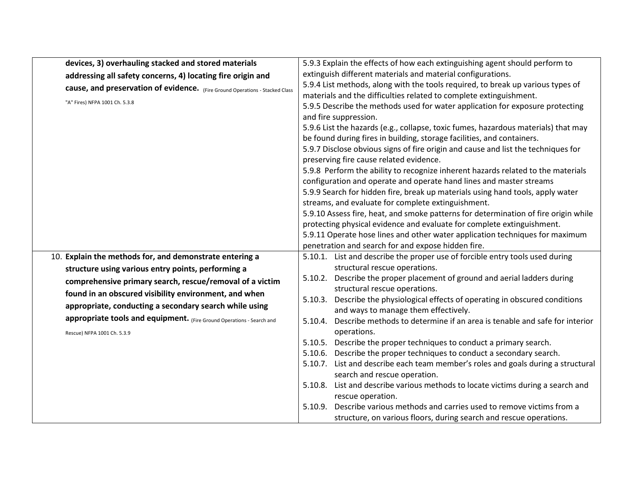| devices, 3) overhauling stacked and stored materials                         | 5.9.3 Explain the effects of how each extinguishing agent should perform to                                                                             |
|------------------------------------------------------------------------------|---------------------------------------------------------------------------------------------------------------------------------------------------------|
| addressing all safety concerns, 4) locating fire origin and                  | extinguish different materials and material configurations.                                                                                             |
| cause, and preservation of evidence. (Fire Ground Operations - Stacked Class | 5.9.4 List methods, along with the tools required, to break up various types of                                                                         |
| "A" Fires) NFPA 1001 Ch. 5.3.8                                               | materials and the difficulties related to complete extinguishment.                                                                                      |
|                                                                              | 5.9.5 Describe the methods used for water application for exposure protecting                                                                           |
|                                                                              | and fire suppression.                                                                                                                                   |
|                                                                              | 5.9.6 List the hazards (e.g., collapse, toxic fumes, hazardous materials) that may                                                                      |
|                                                                              | be found during fires in building, storage facilities, and containers.                                                                                  |
|                                                                              | 5.9.7 Disclose obvious signs of fire origin and cause and list the techniques for                                                                       |
|                                                                              | preserving fire cause related evidence.                                                                                                                 |
|                                                                              | 5.9.8 Perform the ability to recognize inherent hazards related to the materials<br>configuration and operate and operate hand lines and master streams |
|                                                                              | 5.9.9 Search for hidden fire, break up materials using hand tools, apply water                                                                          |
|                                                                              | streams, and evaluate for complete extinguishment.                                                                                                      |
|                                                                              | 5.9.10 Assess fire, heat, and smoke patterns for determination of fire origin while                                                                     |
|                                                                              | protecting physical evidence and evaluate for complete extinguishment.                                                                                  |
|                                                                              | 5.9.11 Operate hose lines and other water application techniques for maximum                                                                            |
|                                                                              | penetration and search for and expose hidden fire.                                                                                                      |
| 10. Explain the methods for, and demonstrate entering a                      | 5.10.1. List and describe the proper use of forcible entry tools used during                                                                            |
| structure using various entry points, performing a                           | structural rescue operations.                                                                                                                           |
| comprehensive primary search, rescue/removal of a victim                     | Describe the proper placement of ground and aerial ladders during<br>5.10.2.                                                                            |
| found in an obscured visibility environment, and when                        | structural rescue operations.                                                                                                                           |
|                                                                              | Describe the physiological effects of operating in obscured conditions<br>5.10.3.                                                                       |
| appropriate, conducting a secondary search while using                       | and ways to manage them effectively.                                                                                                                    |
| appropriate tools and equipment. (Fire Ground Operations - Search and        | Describe methods to determine if an area is tenable and safe for interior<br>5.10.4.                                                                    |
| Rescue) NFPA 1001 Ch. 5.3.9                                                  | operations.                                                                                                                                             |
|                                                                              | 5.10.5. Describe the proper techniques to conduct a primary search.                                                                                     |
|                                                                              | Describe the proper techniques to conduct a secondary search.<br>5.10.6.                                                                                |
|                                                                              | 5.10.7. List and describe each team member's roles and goals during a structural                                                                        |
|                                                                              | search and rescue operation.                                                                                                                            |
|                                                                              | 5.10.8. List and describe various methods to locate victims during a search and                                                                         |
|                                                                              | rescue operation.<br>Describe various methods and carries used to remove victims from a<br>5.10.9.                                                      |
|                                                                              |                                                                                                                                                         |
|                                                                              | structure, on various floors, during search and rescue operations.                                                                                      |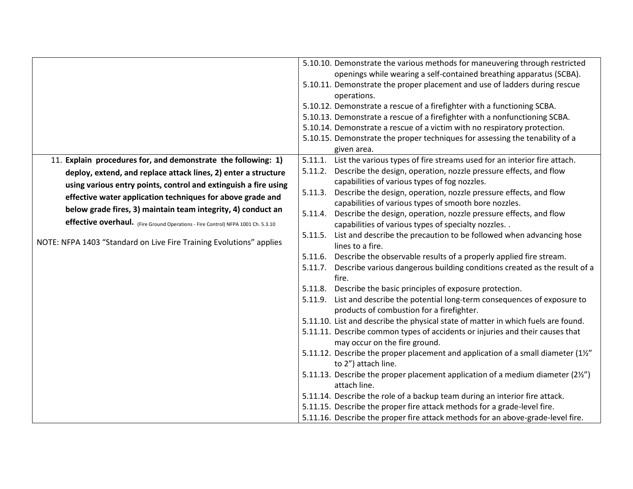| List the various types of fire streams used for an interior fire attach.<br>11. Explain procedures for, and demonstrate the following: 1)<br>5.11.1.<br>Describe the design, operation, nozzle pressure effects, and flow<br>5.11.2.<br>deploy, extend, and replace attack lines, 2) enter a structure<br>capabilities of various types of fog nozzles.<br>using various entry points, control and extinguish a fire using<br>Describe the design, operation, nozzle pressure effects, and flow<br>5.11.3.<br>effective water application techniques for above grade and<br>capabilities of various types of smooth bore nozzles.<br>below grade fires, 3) maintain team integrity, 4) conduct an<br>Describe the design, operation, nozzle pressure effects, and flow<br>5.11.4.<br>effective overhaul. (Fire Ground Operations - Fire Control) NFPA 1001 Ch. 5.3.10<br>capabilities of various types of specialty nozzles<br>List and describe the precaution to be followed when advancing hose<br>5.11.5.<br>NOTE: NFPA 1403 "Standard on Live Fire Training Evolutions" applies<br>lines to a fire.<br>Describe the observable results of a properly applied fire stream.<br>5.11.6.<br>5.11.7. Describe various dangerous building conditions created as the result of a<br>fire.<br>Describe the basic principles of exposure protection.<br>5.11.8.<br>List and describe the potential long-term consequences of exposure to<br>5.11.9.<br>products of combustion for a firefighter.<br>5.11.10. List and describe the physical state of matter in which fuels are found.<br>5.11.11. Describe common types of accidents or injuries and their causes that<br>may occur on the fire ground.<br>5.11.12. Describe the proper placement and application of a small diameter (11/2"<br>to 2") attach line.<br>5.11.13. Describe the proper placement application of a medium diameter (21/2")<br>attach line.<br>5.11.14. Describe the role of a backup team during an interior fire attack. | 5.10.10. Demonstrate the various methods for maneuvering through restricted<br>openings while wearing a self-contained breathing apparatus (SCBA).<br>5.10.11. Demonstrate the proper placement and use of ladders during rescue<br>operations.<br>5.10.12. Demonstrate a rescue of a firefighter with a functioning SCBA.<br>5.10.13. Demonstrate a rescue of a firefighter with a nonfunctioning SCBA.<br>5.10.14. Demonstrate a rescue of a victim with no respiratory protection.<br>5.10.15. Demonstrate the proper techniques for assessing the tenability of a<br>given area. |  |
|---------------------------------------------------------------------------------------------------------------------------------------------------------------------------------------------------------------------------------------------------------------------------------------------------------------------------------------------------------------------------------------------------------------------------------------------------------------------------------------------------------------------------------------------------------------------------------------------------------------------------------------------------------------------------------------------------------------------------------------------------------------------------------------------------------------------------------------------------------------------------------------------------------------------------------------------------------------------------------------------------------------------------------------------------------------------------------------------------------------------------------------------------------------------------------------------------------------------------------------------------------------------------------------------------------------------------------------------------------------------------------------------------------------------------------------------------------------------------------------------------------------------------------------------------------------------------------------------------------------------------------------------------------------------------------------------------------------------------------------------------------------------------------------------------------------------------------------------------------------------------------------------------------------------------------------------------------------------------------------------------|--------------------------------------------------------------------------------------------------------------------------------------------------------------------------------------------------------------------------------------------------------------------------------------------------------------------------------------------------------------------------------------------------------------------------------------------------------------------------------------------------------------------------------------------------------------------------------------|--|
|                                                                                                                                                                                                                                                                                                                                                                                                                                                                                                                                                                                                                                                                                                                                                                                                                                                                                                                                                                                                                                                                                                                                                                                                                                                                                                                                                                                                                                                                                                                                                                                                                                                                                                                                                                                                                                                                                                                                                                                                   |                                                                                                                                                                                                                                                                                                                                                                                                                                                                                                                                                                                      |  |
|                                                                                                                                                                                                                                                                                                                                                                                                                                                                                                                                                                                                                                                                                                                                                                                                                                                                                                                                                                                                                                                                                                                                                                                                                                                                                                                                                                                                                                                                                                                                                                                                                                                                                                                                                                                                                                                                                                                                                                                                   |                                                                                                                                                                                                                                                                                                                                                                                                                                                                                                                                                                                      |  |
|                                                                                                                                                                                                                                                                                                                                                                                                                                                                                                                                                                                                                                                                                                                                                                                                                                                                                                                                                                                                                                                                                                                                                                                                                                                                                                                                                                                                                                                                                                                                                                                                                                                                                                                                                                                                                                                                                                                                                                                                   |                                                                                                                                                                                                                                                                                                                                                                                                                                                                                                                                                                                      |  |
|                                                                                                                                                                                                                                                                                                                                                                                                                                                                                                                                                                                                                                                                                                                                                                                                                                                                                                                                                                                                                                                                                                                                                                                                                                                                                                                                                                                                                                                                                                                                                                                                                                                                                                                                                                                                                                                                                                                                                                                                   |                                                                                                                                                                                                                                                                                                                                                                                                                                                                                                                                                                                      |  |
|                                                                                                                                                                                                                                                                                                                                                                                                                                                                                                                                                                                                                                                                                                                                                                                                                                                                                                                                                                                                                                                                                                                                                                                                                                                                                                                                                                                                                                                                                                                                                                                                                                                                                                                                                                                                                                                                                                                                                                                                   |                                                                                                                                                                                                                                                                                                                                                                                                                                                                                                                                                                                      |  |
|                                                                                                                                                                                                                                                                                                                                                                                                                                                                                                                                                                                                                                                                                                                                                                                                                                                                                                                                                                                                                                                                                                                                                                                                                                                                                                                                                                                                                                                                                                                                                                                                                                                                                                                                                                                                                                                                                                                                                                                                   |                                                                                                                                                                                                                                                                                                                                                                                                                                                                                                                                                                                      |  |
|                                                                                                                                                                                                                                                                                                                                                                                                                                                                                                                                                                                                                                                                                                                                                                                                                                                                                                                                                                                                                                                                                                                                                                                                                                                                                                                                                                                                                                                                                                                                                                                                                                                                                                                                                                                                                                                                                                                                                                                                   |                                                                                                                                                                                                                                                                                                                                                                                                                                                                                                                                                                                      |  |
|                                                                                                                                                                                                                                                                                                                                                                                                                                                                                                                                                                                                                                                                                                                                                                                                                                                                                                                                                                                                                                                                                                                                                                                                                                                                                                                                                                                                                                                                                                                                                                                                                                                                                                                                                                                                                                                                                                                                                                                                   |                                                                                                                                                                                                                                                                                                                                                                                                                                                                                                                                                                                      |  |
|                                                                                                                                                                                                                                                                                                                                                                                                                                                                                                                                                                                                                                                                                                                                                                                                                                                                                                                                                                                                                                                                                                                                                                                                                                                                                                                                                                                                                                                                                                                                                                                                                                                                                                                                                                                                                                                                                                                                                                                                   |                                                                                                                                                                                                                                                                                                                                                                                                                                                                                                                                                                                      |  |
|                                                                                                                                                                                                                                                                                                                                                                                                                                                                                                                                                                                                                                                                                                                                                                                                                                                                                                                                                                                                                                                                                                                                                                                                                                                                                                                                                                                                                                                                                                                                                                                                                                                                                                                                                                                                                                                                                                                                                                                                   |                                                                                                                                                                                                                                                                                                                                                                                                                                                                                                                                                                                      |  |
|                                                                                                                                                                                                                                                                                                                                                                                                                                                                                                                                                                                                                                                                                                                                                                                                                                                                                                                                                                                                                                                                                                                                                                                                                                                                                                                                                                                                                                                                                                                                                                                                                                                                                                                                                                                                                                                                                                                                                                                                   |                                                                                                                                                                                                                                                                                                                                                                                                                                                                                                                                                                                      |  |
|                                                                                                                                                                                                                                                                                                                                                                                                                                                                                                                                                                                                                                                                                                                                                                                                                                                                                                                                                                                                                                                                                                                                                                                                                                                                                                                                                                                                                                                                                                                                                                                                                                                                                                                                                                                                                                                                                                                                                                                                   |                                                                                                                                                                                                                                                                                                                                                                                                                                                                                                                                                                                      |  |
|                                                                                                                                                                                                                                                                                                                                                                                                                                                                                                                                                                                                                                                                                                                                                                                                                                                                                                                                                                                                                                                                                                                                                                                                                                                                                                                                                                                                                                                                                                                                                                                                                                                                                                                                                                                                                                                                                                                                                                                                   |                                                                                                                                                                                                                                                                                                                                                                                                                                                                                                                                                                                      |  |
|                                                                                                                                                                                                                                                                                                                                                                                                                                                                                                                                                                                                                                                                                                                                                                                                                                                                                                                                                                                                                                                                                                                                                                                                                                                                                                                                                                                                                                                                                                                                                                                                                                                                                                                                                                                                                                                                                                                                                                                                   |                                                                                                                                                                                                                                                                                                                                                                                                                                                                                                                                                                                      |  |
|                                                                                                                                                                                                                                                                                                                                                                                                                                                                                                                                                                                                                                                                                                                                                                                                                                                                                                                                                                                                                                                                                                                                                                                                                                                                                                                                                                                                                                                                                                                                                                                                                                                                                                                                                                                                                                                                                                                                                                                                   |                                                                                                                                                                                                                                                                                                                                                                                                                                                                                                                                                                                      |  |
|                                                                                                                                                                                                                                                                                                                                                                                                                                                                                                                                                                                                                                                                                                                                                                                                                                                                                                                                                                                                                                                                                                                                                                                                                                                                                                                                                                                                                                                                                                                                                                                                                                                                                                                                                                                                                                                                                                                                                                                                   |                                                                                                                                                                                                                                                                                                                                                                                                                                                                                                                                                                                      |  |
|                                                                                                                                                                                                                                                                                                                                                                                                                                                                                                                                                                                                                                                                                                                                                                                                                                                                                                                                                                                                                                                                                                                                                                                                                                                                                                                                                                                                                                                                                                                                                                                                                                                                                                                                                                                                                                                                                                                                                                                                   |                                                                                                                                                                                                                                                                                                                                                                                                                                                                                                                                                                                      |  |
|                                                                                                                                                                                                                                                                                                                                                                                                                                                                                                                                                                                                                                                                                                                                                                                                                                                                                                                                                                                                                                                                                                                                                                                                                                                                                                                                                                                                                                                                                                                                                                                                                                                                                                                                                                                                                                                                                                                                                                                                   |                                                                                                                                                                                                                                                                                                                                                                                                                                                                                                                                                                                      |  |
|                                                                                                                                                                                                                                                                                                                                                                                                                                                                                                                                                                                                                                                                                                                                                                                                                                                                                                                                                                                                                                                                                                                                                                                                                                                                                                                                                                                                                                                                                                                                                                                                                                                                                                                                                                                                                                                                                                                                                                                                   |                                                                                                                                                                                                                                                                                                                                                                                                                                                                                                                                                                                      |  |
| 5.11.15. Describe the proper fire attack methods for a grade-level fire.<br>5.11.16. Describe the proper fire attack methods for an above-grade-level fire.                                                                                                                                                                                                                                                                                                                                                                                                                                                                                                                                                                                                                                                                                                                                                                                                                                                                                                                                                                                                                                                                                                                                                                                                                                                                                                                                                                                                                                                                                                                                                                                                                                                                                                                                                                                                                                       |                                                                                                                                                                                                                                                                                                                                                                                                                                                                                                                                                                                      |  |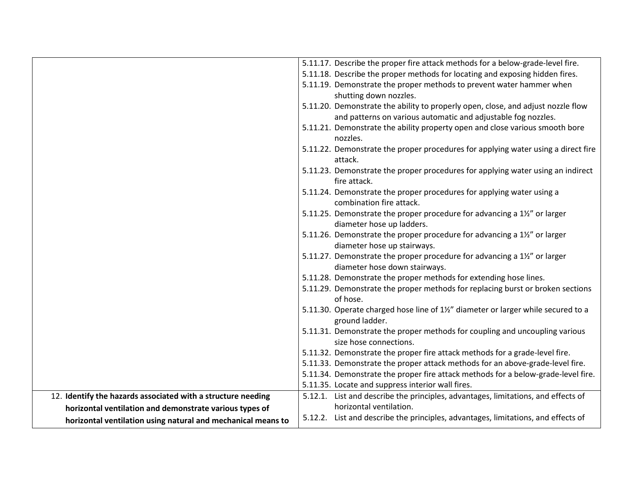|                                                              | 5.11.17. Describe the proper fire attack methods for a below-grade-level fire.                        |
|--------------------------------------------------------------|-------------------------------------------------------------------------------------------------------|
|                                                              | 5.11.18. Describe the proper methods for locating and exposing hidden fires.                          |
|                                                              | 5.11.19. Demonstrate the proper methods to prevent water hammer when                                  |
|                                                              | shutting down nozzles.                                                                                |
|                                                              | 5.11.20. Demonstrate the ability to properly open, close, and adjust nozzle flow                      |
|                                                              | and patterns on various automatic and adjustable fog nozzles.                                         |
|                                                              | 5.11.21. Demonstrate the ability property open and close various smooth bore                          |
|                                                              | nozzles.                                                                                              |
|                                                              | 5.11.22. Demonstrate the proper procedures for applying water using a direct fire                     |
|                                                              | attack.                                                                                               |
|                                                              | 5.11.23. Demonstrate the proper procedures for applying water using an indirect                       |
|                                                              | fire attack.                                                                                          |
|                                                              | 5.11.24. Demonstrate the proper procedures for applying water using a                                 |
|                                                              | combination fire attack.                                                                              |
|                                                              | 5.11.25. Demonstrate the proper procedure for advancing a 1½" or larger                               |
|                                                              | diameter hose up ladders.                                                                             |
|                                                              | 5.11.26. Demonstrate the proper procedure for advancing a 1½" or larger                               |
|                                                              | diameter hose up stairways.                                                                           |
|                                                              | 5.11.27. Demonstrate the proper procedure for advancing a 1½" or larger                               |
|                                                              | diameter hose down stairways.                                                                         |
|                                                              | 5.11.28. Demonstrate the proper methods for extending hose lines.                                     |
|                                                              | 5.11.29. Demonstrate the proper methods for replacing burst or broken sections                        |
|                                                              | of hose.                                                                                              |
|                                                              | 5.11.30. Operate charged hose line of 1%" diameter or larger while secured to a                       |
|                                                              | ground ladder.                                                                                        |
|                                                              | 5.11.31. Demonstrate the proper methods for coupling and uncoupling various<br>size hose connections. |
|                                                              | 5.11.32. Demonstrate the proper fire attack methods for a grade-level fire.                           |
|                                                              | 5.11.33. Demonstrate the proper attack methods for an above-grade-level fire.                         |
|                                                              | 5.11.34. Demonstrate the proper fire attack methods for a below-grade-level fire.                     |
|                                                              | 5.11.35. Locate and suppress interior wall fires.                                                     |
| 12. Identify the hazards associated with a structure needing | 5.12.1. List and describe the principles, advantages, limitations, and effects of                     |
| horizontal ventilation and demonstrate various types of      | horizontal ventilation.                                                                               |
|                                                              | 5.12.2. List and describe the principles, advantages, limitations, and effects of                     |
| horizontal ventilation using natural and mechanical means to |                                                                                                       |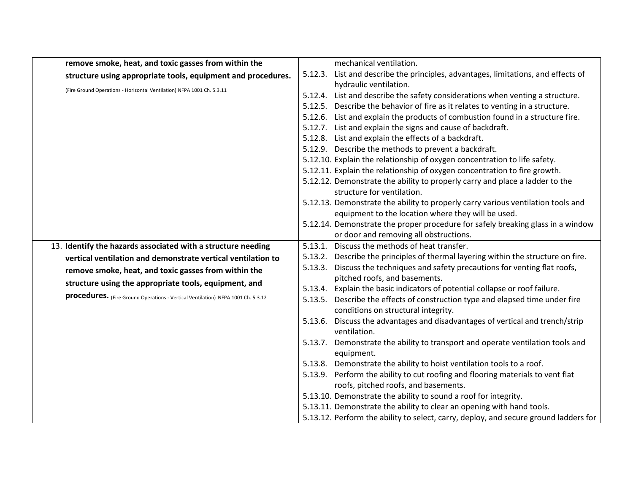| remove smoke, heat, and toxic gasses from within the                             | mechanical ventilation.                                                                                              |
|----------------------------------------------------------------------------------|----------------------------------------------------------------------------------------------------------------------|
| structure using appropriate tools, equipment and procedures.                     | List and describe the principles, advantages, limitations, and effects of<br>5.12.3.                                 |
| (Fire Ground Operations - Horizontal Ventilation) NFPA 1001 Ch. 5.3.11           | hydraulic ventilation.                                                                                               |
|                                                                                  | 5.12.4. List and describe the safety considerations when venting a structure.                                        |
|                                                                                  | 5.12.5. Describe the behavior of fire as it relates to venting in a structure.                                       |
|                                                                                  | 5.12.6. List and explain the products of combustion found in a structure fire.                                       |
|                                                                                  | 5.12.7. List and explain the signs and cause of backdraft.                                                           |
|                                                                                  | 5.12.8. List and explain the effects of a backdraft.                                                                 |
|                                                                                  | 5.12.9. Describe the methods to prevent a backdraft.                                                                 |
|                                                                                  | 5.12.10. Explain the relationship of oxygen concentration to life safety.                                            |
|                                                                                  | 5.12.11. Explain the relationship of oxygen concentration to fire growth.                                            |
|                                                                                  | 5.12.12. Demonstrate the ability to properly carry and place a ladder to the                                         |
|                                                                                  | structure for ventilation.                                                                                           |
|                                                                                  | 5.12.13. Demonstrate the ability to properly carry various ventilation tools and                                     |
|                                                                                  | equipment to the location where they will be used.                                                                   |
|                                                                                  | 5.12.14. Demonstrate the proper procedure for safely breaking glass in a window                                      |
|                                                                                  | or door and removing all obstructions.                                                                               |
| 13. Identify the hazards associated with a structure needing                     | 5.13.1. Discuss the methods of heat transfer.                                                                        |
| vertical ventilation and demonstrate vertical ventilation to                     | 5.13.2. Describe the principles of thermal layering within the structure on fire.                                    |
| remove smoke, heat, and toxic gasses from within the                             | 5.13.3. Discuss the techniques and safety precautions for venting flat roofs,                                        |
| structure using the appropriate tools, equipment, and                            | pitched roofs, and basements.                                                                                        |
| procedures. (Fire Ground Operations - Vertical Ventilation) NFPA 1001 Ch. 5.3.12 | 5.13.4. Explain the basic indicators of potential collapse or roof failure.                                          |
|                                                                                  | 5.13.5. Describe the effects of construction type and elapsed time under fire<br>conditions on structural integrity. |
|                                                                                  | 5.13.6. Discuss the advantages and disadvantages of vertical and trench/strip                                        |
|                                                                                  | ventilation.                                                                                                         |
|                                                                                  | 5.13.7. Demonstrate the ability to transport and operate ventilation tools and                                       |
|                                                                                  | equipment.                                                                                                           |
|                                                                                  | 5.13.8. Demonstrate the ability to hoist ventilation tools to a roof.                                                |
|                                                                                  | 5.13.9. Perform the ability to cut roofing and flooring materials to vent flat                                       |
|                                                                                  | roofs, pitched roofs, and basements.                                                                                 |
|                                                                                  | 5.13.10. Demonstrate the ability to sound a roof for integrity.                                                      |
|                                                                                  | 5.13.11. Demonstrate the ability to clear an opening with hand tools.                                                |
|                                                                                  | 5.13.12. Perform the ability to select, carry, deploy, and secure ground ladders for                                 |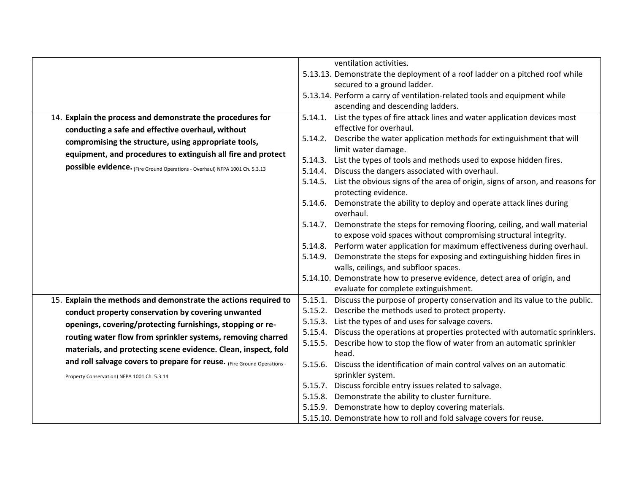|                                                                             | ventilation activities.                                                                                          |
|-----------------------------------------------------------------------------|------------------------------------------------------------------------------------------------------------------|
|                                                                             |                                                                                                                  |
|                                                                             | 5.13.13. Demonstrate the deployment of a roof ladder on a pitched roof while                                     |
|                                                                             | secured to a ground ladder.                                                                                      |
|                                                                             | 5.13.14. Perform a carry of ventilation-related tools and equipment while                                        |
|                                                                             | ascending and descending ladders.                                                                                |
| 14. Explain the process and demonstrate the procedures for                  | List the types of fire attack lines and water application devices most<br>5.14.1.                                |
| conducting a safe and effective overhaul, without                           | effective for overhaul.                                                                                          |
| compromising the structure, using appropriate tools,                        | 5.14.2. Describe the water application methods for extinguishment that will                                      |
| equipment, and procedures to extinguish all fire and protect                | limit water damage.                                                                                              |
|                                                                             | List the types of tools and methods used to expose hidden fires.<br>5.14.3.                                      |
| possible evidence. (Fire Ground Operations - Overhaul) NFPA 1001 Ch. 5.3.13 | Discuss the dangers associated with overhaul.<br>5.14.4.                                                         |
|                                                                             | List the obvious signs of the area of origin, signs of arson, and reasons for<br>5.14.5.<br>protecting evidence. |
|                                                                             | Demonstrate the ability to deploy and operate attack lines during<br>5.14.6.<br>overhaul.                        |
|                                                                             | Demonstrate the steps for removing flooring, ceiling, and wall material<br>5.14.7.                               |
|                                                                             | to expose void spaces without compromising structural integrity.                                                 |
|                                                                             | 5.14.8. Perform water application for maximum effectiveness during overhaul.                                     |
|                                                                             | 5.14.9. Demonstrate the steps for exposing and extinguishing hidden fires in                                     |
|                                                                             | walls, ceilings, and subfloor spaces.                                                                            |
|                                                                             | 5.14.10. Demonstrate how to preserve evidence, detect area of origin, and                                        |
|                                                                             | evaluate for complete extinguishment.                                                                            |
| 15. Explain the methods and demonstrate the actions required to             | 5.15.1. Discuss the purpose of property conservation and its value to the public.                                |
| conduct property conservation by covering unwanted                          | 5.15.2. Describe the methods used to protect property.                                                           |
| openings, covering/protecting furnishings, stopping or re-                  | 5.15.3. List the types of and uses for salvage covers.                                                           |
|                                                                             | 5.15.4. Discuss the operations at properties protected with automatic sprinklers.                                |
| routing water flow from sprinkler systems, removing charred                 | Describe how to stop the flow of water from an automatic sprinkler<br>5.15.5.                                    |
| materials, and protecting scene evidence. Clean, inspect, fold              | head.                                                                                                            |
| and roll salvage covers to prepare for reuse. (Fire Ground Operations -     | Discuss the identification of main control valves on an automatic<br>5.15.6.                                     |
| Property Conservation) NFPA 1001 Ch. 5.3.14                                 | sprinkler system.                                                                                                |
|                                                                             | 5.15.7. Discuss forcible entry issues related to salvage.                                                        |
|                                                                             | 5.15.8. Demonstrate the ability to cluster furniture.                                                            |
|                                                                             | 5.15.9. Demonstrate how to deploy covering materials.                                                            |
|                                                                             | 5.15.10. Demonstrate how to roll and fold salvage covers for reuse.                                              |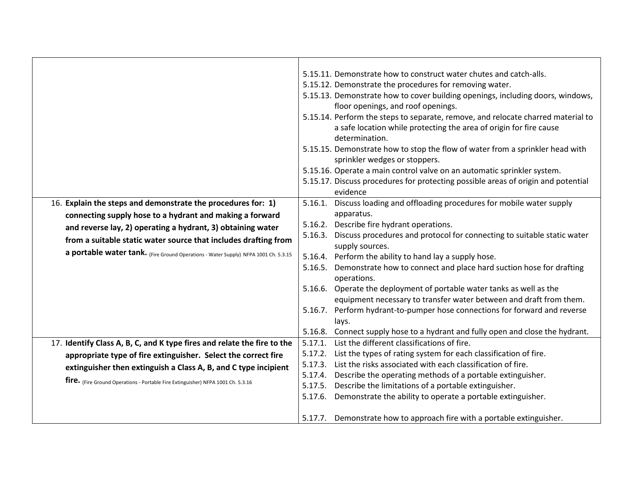|                                                                                     | 5.15.11. Demonstrate how to construct water chutes and catch-alls.<br>5.15.12. Demonstrate the procedures for removing water.<br>5.15.13. Demonstrate how to cover building openings, including doors, windows,<br>floor openings, and roof openings.<br>5.15.14. Perform the steps to separate, remove, and relocate charred material to<br>a safe location while protecting the area of origin for fire cause<br>determination.<br>5.15.15. Demonstrate how to stop the flow of water from a sprinkler head with |
|-------------------------------------------------------------------------------------|--------------------------------------------------------------------------------------------------------------------------------------------------------------------------------------------------------------------------------------------------------------------------------------------------------------------------------------------------------------------------------------------------------------------------------------------------------------------------------------------------------------------|
|                                                                                     | sprinkler wedges or stoppers.<br>5.15.16. Operate a main control valve on an automatic sprinkler system.                                                                                                                                                                                                                                                                                                                                                                                                           |
|                                                                                     | 5.15.17. Discuss procedures for protecting possible areas of origin and potential<br>evidence                                                                                                                                                                                                                                                                                                                                                                                                                      |
| 16. Explain the steps and demonstrate the procedures for: 1)                        | 5.16.1. Discuss loading and offloading procedures for mobile water supply                                                                                                                                                                                                                                                                                                                                                                                                                                          |
| connecting supply hose to a hydrant and making a forward                            | apparatus.                                                                                                                                                                                                                                                                                                                                                                                                                                                                                                         |
| and reverse lay, 2) operating a hydrant, 3) obtaining water                         | 5.16.2. Describe fire hydrant operations.                                                                                                                                                                                                                                                                                                                                                                                                                                                                          |
| from a suitable static water source that includes drafting from                     | Discuss procedures and protocol for connecting to suitable static water<br>5.16.3.<br>supply sources.                                                                                                                                                                                                                                                                                                                                                                                                              |
| a portable water tank. (Fire Ground Operations - Water Supply) NFPA 1001 Ch. 5.3.15 | 5.16.4. Perform the ability to hand lay a supply hose.                                                                                                                                                                                                                                                                                                                                                                                                                                                             |
|                                                                                     | 5.16.5. Demonstrate how to connect and place hard suction hose for drafting<br>operations.                                                                                                                                                                                                                                                                                                                                                                                                                         |
|                                                                                     | 5.16.6. Operate the deployment of portable water tanks as well as the<br>equipment necessary to transfer water between and draft from them.                                                                                                                                                                                                                                                                                                                                                                        |
|                                                                                     | Perform hydrant-to-pumper hose connections for forward and reverse<br>5.16.7.<br>lays.                                                                                                                                                                                                                                                                                                                                                                                                                             |
|                                                                                     | 5.16.8. Connect supply hose to a hydrant and fully open and close the hydrant.                                                                                                                                                                                                                                                                                                                                                                                                                                     |
| 17. Identify Class A, B, C, and K type fires and relate the fire to the             | List the different classifications of fire.<br>5.17.1.                                                                                                                                                                                                                                                                                                                                                                                                                                                             |
| appropriate type of fire extinguisher. Select the correct fire                      | List the types of rating system for each classification of fire.<br>5.17.2.                                                                                                                                                                                                                                                                                                                                                                                                                                        |
| extinguisher then extinguish a Class A, B, and C type incipient                     | List the risks associated with each classification of fire.<br>5.17.3.                                                                                                                                                                                                                                                                                                                                                                                                                                             |
| fire. (Fire Ground Operations - Portable Fire Extinguisher) NFPA 1001 Ch. 5.3.16    | Describe the operating methods of a portable extinguisher.<br>5.17.4.                                                                                                                                                                                                                                                                                                                                                                                                                                              |
|                                                                                     | Describe the limitations of a portable extinguisher.<br>5.17.5.<br>5.17.6. Demonstrate the ability to operate a portable extinguisher.                                                                                                                                                                                                                                                                                                                                                                             |
|                                                                                     |                                                                                                                                                                                                                                                                                                                                                                                                                                                                                                                    |
|                                                                                     | 5.17.7. Demonstrate how to approach fire with a portable extinguisher.                                                                                                                                                                                                                                                                                                                                                                                                                                             |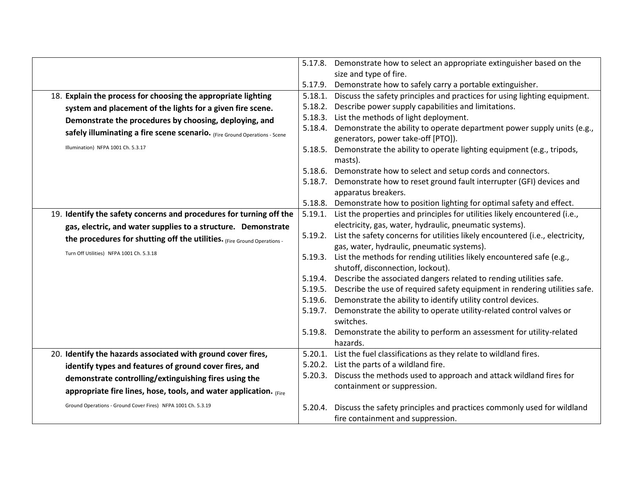|                                                                            | 5.17.8. | Demonstrate how to select an appropriate extinguisher based on the                                         |
|----------------------------------------------------------------------------|---------|------------------------------------------------------------------------------------------------------------|
|                                                                            |         | size and type of fire.                                                                                     |
|                                                                            | 5.17.9. | Demonstrate how to safely carry a portable extinguisher.                                                   |
| 18. Explain the process for choosing the appropriate lighting              | 5.18.1. | Discuss the safety principles and practices for using lighting equipment.                                  |
| system and placement of the lights for a given fire scene.                 | 5.18.2. | Describe power supply capabilities and limitations.                                                        |
| Demonstrate the procedures by choosing, deploying, and                     | 5.18.3. | List the methods of light deployment.                                                                      |
| safely illuminating a fire scene scenario. (Fire Ground Operations - Scene | 5.18.4. | Demonstrate the ability to operate department power supply units (e.g.,                                    |
|                                                                            |         | generators, power take-off [PTO]).                                                                         |
| Illumination) NFPA 1001 Ch. 5.3.17                                         |         | 5.18.5. Demonstrate the ability to operate lighting equipment (e.g., tripods,<br>masts).                   |
|                                                                            | 5.18.6. | Demonstrate how to select and setup cords and connectors.                                                  |
|                                                                            | 5.18.7. | Demonstrate how to reset ground fault interrupter (GFI) devices and                                        |
|                                                                            |         | apparatus breakers.                                                                                        |
|                                                                            |         | 5.18.8. Demonstrate how to position lighting for optimal safety and effect.                                |
| 19. Identify the safety concerns and procedures for turning off the        | 5.19.1. | List the properties and principles for utilities likely encountered (i.e.,                                 |
| gas, electric, and water supplies to a structure. Demonstrate              |         | electricity, gas, water, hydraulic, pneumatic systems).                                                    |
| the procedures for shutting off the utilities. (Fire Ground Operations -   | 5.19.2. | List the safety concerns for utilities likely encountered (i.e., electricity,                              |
| Turn Off Utilities) NFPA 1001 Ch. 5.3.18                                   |         | gas, water, hydraulic, pneumatic systems).                                                                 |
|                                                                            | 5.19.3. | List the methods for rending utilities likely encountered safe (e.g.,<br>shutoff, disconnection, lockout). |
|                                                                            | 5.19.4. | Describe the associated dangers related to rending utilities safe.                                         |
|                                                                            | 5.19.5. | Describe the use of required safety equipment in rendering utilities safe.                                 |
|                                                                            | 5.19.6. | Demonstrate the ability to identify utility control devices.                                               |
|                                                                            | 5.19.7. | Demonstrate the ability to operate utility-related control valves or<br>switches.                          |
|                                                                            | 5.19.8. | Demonstrate the ability to perform an assessment for utility-related                                       |
|                                                                            |         | hazards.                                                                                                   |
| 20. Identify the hazards associated with ground cover fires,               | 5.20.1. | List the fuel classifications as they relate to wildland fires.                                            |
| identify types and features of ground cover fires, and                     |         | 5.20.2. List the parts of a wildland fire.                                                                 |
| demonstrate controlling/extinguishing fires using the                      | 5.20.3. | Discuss the methods used to approach and attack wildland fires for                                         |
| appropriate fire lines, hose, tools, and water application.                |         | containment or suppression.                                                                                |
| Ground Operations - Ground Cover Fires) NFPA 1001 Ch. 5.3.19               | 5.20.4. | Discuss the safety principles and practices commonly used for wildland                                     |
|                                                                            |         | fire containment and suppression.                                                                          |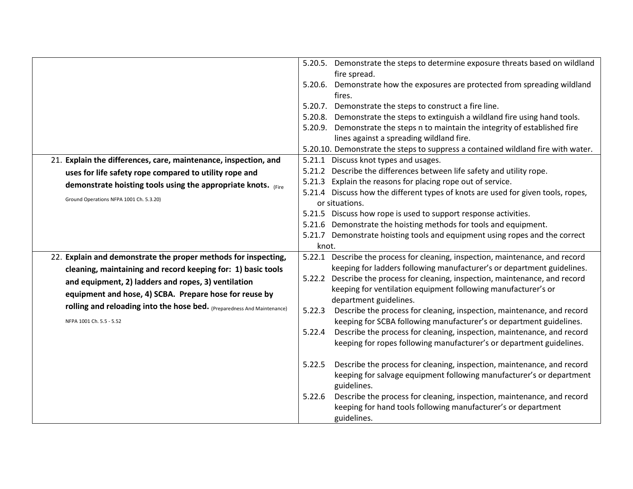|                                                                                                                                                                                                                                                                                                                                                        | 5.20.5. Demonstrate the steps to determine exposure threats based on wildland<br>fire spread.<br>5.20.6. Demonstrate how the exposures are protected from spreading wildland<br>fires.<br>5.20.7. Demonstrate the steps to construct a fire line.<br>5.20.8. Demonstrate the steps to extinguish a wildland fire using hand tools.<br>5.20.9. Demonstrate the steps n to maintain the integrity of established fire<br>lines against a spreading wildland fire.<br>5.20.10. Demonstrate the steps to suppress a contained wildland fire with water.                                                                                                                 |
|--------------------------------------------------------------------------------------------------------------------------------------------------------------------------------------------------------------------------------------------------------------------------------------------------------------------------------------------------------|---------------------------------------------------------------------------------------------------------------------------------------------------------------------------------------------------------------------------------------------------------------------------------------------------------------------------------------------------------------------------------------------------------------------------------------------------------------------------------------------------------------------------------------------------------------------------------------------------------------------------------------------------------------------|
| 21. Explain the differences, care, maintenance, inspection, and<br>uses for life safety rope compared to utility rope and<br>demonstrate hoisting tools using the appropriate knots. (Fire<br>Ground Operations NFPA 1001 Ch. 5.3.20)                                                                                                                  | 5.21.1 Discuss knot types and usages.<br>5.21.2 Describe the differences between life safety and utility rope.<br>5.21.3 Explain the reasons for placing rope out of service.<br>5.21.4 Discuss how the different types of knots are used for given tools, ropes,<br>or situations.<br>5.21.5 Discuss how rope is used to support response activities.<br>5.21.6 Demonstrate the hoisting methods for tools and equipment.<br>5.21.7 Demonstrate hoisting tools and equipment using ropes and the correct                                                                                                                                                           |
| 22. Explain and demonstrate the proper methods for inspecting,<br>cleaning, maintaining and record keeping for: 1) basic tools<br>and equipment, 2) ladders and ropes, 3) ventilation<br>equipment and hose, 4) SCBA. Prepare hose for reuse by<br>rolling and reloading into the hose bed. (Preparedness And Maintenance)<br>NFPA 1001 Ch. 5.5 - 5.52 | knot.<br>5.22.1 Describe the process for cleaning, inspection, maintenance, and record<br>keeping for ladders following manufacturer's or department guidelines.<br>5.22.2 Describe the process for cleaning, inspection, maintenance, and record<br>keeping for ventilation equipment following manufacturer's or<br>department guidelines.<br>Describe the process for cleaning, inspection, maintenance, and record<br>5.22.3<br>keeping for SCBA following manufacturer's or department guidelines.<br>Describe the process for cleaning, inspection, maintenance, and record<br>5.22.4<br>keeping for ropes following manufacturer's or department guidelines. |
|                                                                                                                                                                                                                                                                                                                                                        | Describe the process for cleaning, inspection, maintenance, and record<br>5.22.5<br>keeping for salvage equipment following manufacturer's or department<br>guidelines.<br>Describe the process for cleaning, inspection, maintenance, and record<br>5.22.6<br>keeping for hand tools following manufacturer's or department<br>guidelines.                                                                                                                                                                                                                                                                                                                         |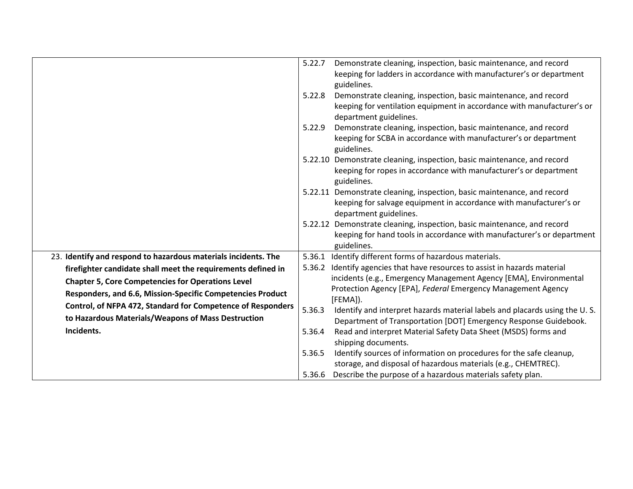|                                                                | 5.22.7 | Demonstrate cleaning, inspection, basic maintenance, and record<br>keeping for ladders in accordance with manufacturer's or department<br>guidelines.                   |
|----------------------------------------------------------------|--------|-------------------------------------------------------------------------------------------------------------------------------------------------------------------------|
|                                                                | 5.22.8 | Demonstrate cleaning, inspection, basic maintenance, and record<br>keeping for ventilation equipment in accordance with manufacturer's or<br>department guidelines.     |
|                                                                | 5.22.9 | Demonstrate cleaning, inspection, basic maintenance, and record<br>keeping for SCBA in accordance with manufacturer's or department<br>guidelines.                      |
|                                                                |        | 5.22.10 Demonstrate cleaning, inspection, basic maintenance, and record<br>keeping for ropes in accordance with manufacturer's or department<br>guidelines.             |
|                                                                |        | 5.22.11 Demonstrate cleaning, inspection, basic maintenance, and record<br>keeping for salvage equipment in accordance with manufacturer's or<br>department guidelines. |
|                                                                |        | 5.22.12 Demonstrate cleaning, inspection, basic maintenance, and record<br>keeping for hand tools in accordance with manufacturer's or department<br>guidelines.        |
| 23. Identify and respond to hazardous materials incidents. The |        | 5.36.1 Identify different forms of hazardous materials.                                                                                                                 |
| firefighter candidate shall meet the requirements defined in   |        | 5.36.2 Identify agencies that have resources to assist in hazards material                                                                                              |
| <b>Chapter 5, Core Competencies for Operations Level</b>       |        | incidents (e.g., Emergency Management Agency [EMA], Environmental                                                                                                       |
| Responders, and 6.6, Mission-Specific Competencies Product     |        | Protection Agency [EPA], Federal Emergency Management Agency                                                                                                            |
| Control, of NFPA 472, Standard for Competence of Responders    |        | [FEMA]).                                                                                                                                                                |
| to Hazardous Materials/Weapons of Mass Destruction             | 5.36.3 | Identify and interpret hazards material labels and placards using the U.S.<br>Department of Transportation [DOT] Emergency Response Guidebook.                          |
| Incidents.                                                     | 5.36.4 | Read and interpret Material Safety Data Sheet (MSDS) forms and                                                                                                          |
|                                                                |        | shipping documents.                                                                                                                                                     |
|                                                                | 5.36.5 | Identify sources of information on procedures for the safe cleanup,                                                                                                     |
|                                                                |        | storage, and disposal of hazardous materials (e.g., CHEMTREC).                                                                                                          |
|                                                                | 5.36.6 | Describe the purpose of a hazardous materials safety plan.                                                                                                              |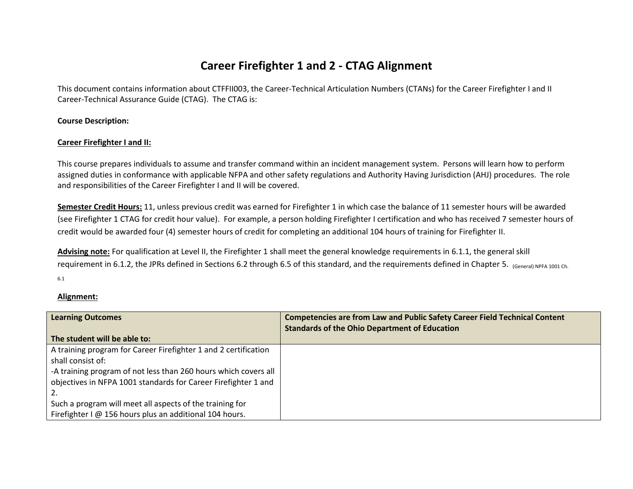# **Career Firefighter 1 and 2 - CTAG Alignment**

This document contains information about CTFFII003, the Career-Technical Articulation Numbers (CTANs) for the Career Firefighter I and II Career-Technical Assurance Guide (CTAG). The CTAG is:

**Course Description:**

## **Career Firefighter I and II:**

This course prepares individuals to assume and transfer command within an incident management system. Persons will learn how to perform assigned duties in conformance with applicable NFPA and other safety regulations and Authority Having Jurisdiction (AHJ) procedures. The role and responsibilities of the Career Firefighter I and II will be covered.

**Semester Credit Hours:** 11, unless previous credit was earned for Firefighter 1 in which case the balance of 11 semester hours will be awarded (see Firefighter 1 CTAG for credit hour value). For example, a person holding Firefighter I certification and who has received 7 semester hours of credit would be awarded four (4) semester hours of credit for completing an additional 104 hours of training for Firefighter II.

**Advising note:** For qualification at Level II, the Firefighter 1 shall meet the general knowledge requirements in 6.1.1, the general skill requirement in 6.1.2, the JPRs defined in Sections 6.2 through 6.5 of this standard, and the requirements defined in Chapter 5. (General) NPFA 1001 Ch. 6.1

## **Alignment:**

| <b>Learning Outcomes</b>                                        | <b>Competencies are from Law and Public Safety Career Field Technical Content</b> |
|-----------------------------------------------------------------|-----------------------------------------------------------------------------------|
|                                                                 | <b>Standards of the Ohio Department of Education</b>                              |
| The student will be able to:                                    |                                                                                   |
| A training program for Career Firefighter 1 and 2 certification |                                                                                   |
| shall consist of:                                               |                                                                                   |
| -A training program of not less than 260 hours which covers all |                                                                                   |
| objectives in NFPA 1001 standards for Career Firefighter 1 and  |                                                                                   |
|                                                                 |                                                                                   |
| Such a program will meet all aspects of the training for        |                                                                                   |
| Firefighter I @ 156 hours plus an additional 104 hours.         |                                                                                   |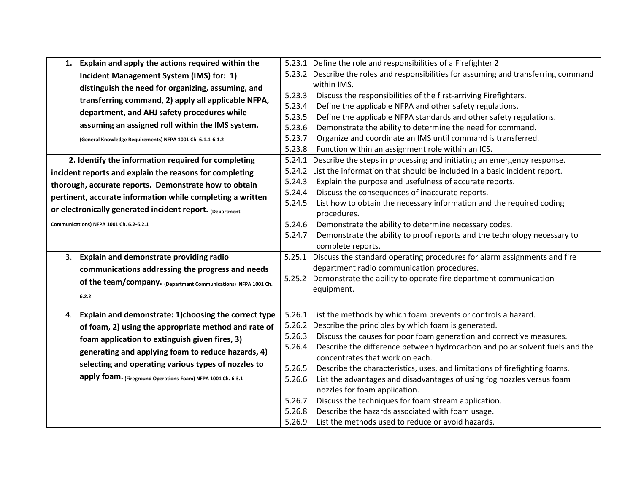| Explain and apply the actions required within the<br>1.        |        | 5.23.1 Define the role and responsibilities of a Firefighter 2                       |
|----------------------------------------------------------------|--------|--------------------------------------------------------------------------------------|
| Incident Management System (IMS) for: 1)                       |        | 5.23.2 Describe the roles and responsibilities for assuming and transferring command |
| distinguish the need for organizing, assuming, and             |        | within IMS.                                                                          |
| transferring command, 2) apply all applicable NFPA,            | 5.23.3 | Discuss the responsibilities of the first-arriving Firefighters.                     |
| department, and AHJ safety procedures while                    | 5.23.4 | Define the applicable NFPA and other safety regulations.                             |
|                                                                | 5.23.5 | Define the applicable NFPA standards and other safety regulations.                   |
| assuming an assigned roll within the IMS system.               | 5.23.6 | Demonstrate the ability to determine the need for command.                           |
| (General Knowledge Requirements) NFPA 1001 Ch. 6.1.1-6.1.2     | 5.23.7 | Organize and coordinate an IMS until command is transferred.                         |
|                                                                | 5.23.8 | Function within an assignment role within an ICS.                                    |
| 2. Identify the information required for completing            | 5.24.1 | Describe the steps in processing and initiating an emergency response.               |
| incident reports and explain the reasons for completing        | 5.24.2 | List the information that should be included in a basic incident report.             |
| thorough, accurate reports. Demonstrate how to obtain          | 5.24.3 | Explain the purpose and usefulness of accurate reports.                              |
| pertinent, accurate information while completing a written     | 5.24.4 | Discuss the consequences of inaccurate reports.                                      |
| or electronically generated incident report. (Department       | 5.24.5 | List how to obtain the necessary information and the required coding                 |
| Communications) NFPA 1001 Ch. 6.2-6.2.1                        | 5.24.6 | procedures.<br>Demonstrate the ability to determine necessary codes.                 |
|                                                                | 5.24.7 | Demonstrate the ability to proof reports and the technology necessary to             |
|                                                                |        | complete reports.                                                                    |
| Explain and demonstrate providing radio<br>3.                  | 5.25.1 | Discuss the standard operating procedures for alarm assignments and fire             |
| communications addressing the progress and needs               |        | department radio communication procedures.                                           |
|                                                                |        | 5.25.2 Demonstrate the ability to operate fire department communication              |
| of the team/company. (Department Communications) NFPA 1001 Ch. |        | equipment.                                                                           |
| 6.2.2                                                          |        |                                                                                      |
| Explain and demonstrate: 1) choosing the correct type<br>4.    |        | 5.26.1 List the methods by which foam prevents or controls a hazard.                 |
| of foam, 2) using the appropriate method and rate of           |        | 5.26.2 Describe the principles by which foam is generated.                           |
|                                                                | 5.26.3 | Discuss the causes for poor foam generation and corrective measures.                 |
| foam application to extinguish given fires, 3)                 | 5.26.4 | Describe the difference between hydrocarbon and polar solvent fuels and the          |
| generating and applying foam to reduce hazards, 4)             |        | concentrates that work on each.                                                      |
| selecting and operating various types of nozzles to            | 5.26.5 | Describe the characteristics, uses, and limitations of firefighting foams.           |
| apply foam. (Fireground Operations-Foam) NFPA 1001 Ch. 6.3.1   | 5.26.6 | List the advantages and disadvantages of using fog nozzles versus foam               |
|                                                                |        | nozzles for foam application.                                                        |
|                                                                | 5.26.7 | Discuss the techniques for foam stream application.                                  |
|                                                                | 5.26.8 | Describe the hazards associated with foam usage.                                     |
|                                                                | 5.26.9 | List the methods used to reduce or avoid hazards.                                    |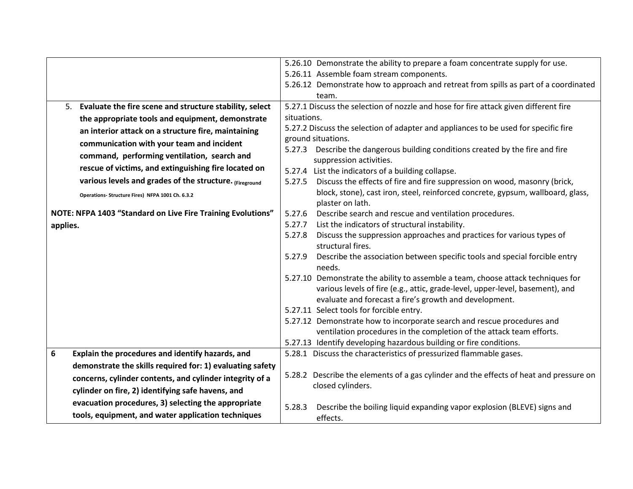|                  |                                                             |                                                                  | 5.26.10 Demonstrate the ability to prepare a foam concentrate supply for use.                                                              |
|------------------|-------------------------------------------------------------|------------------------------------------------------------------|--------------------------------------------------------------------------------------------------------------------------------------------|
|                  |                                                             |                                                                  | 5.26.11 Assemble foam stream components.                                                                                                   |
|                  |                                                             |                                                                  | 5.26.12 Demonstrate how to approach and retreat from spills as part of a coordinated                                                       |
|                  |                                                             |                                                                  | team.                                                                                                                                      |
|                  | 5. Evaluate the fire scene and structure stability, select  |                                                                  | 5.27.1 Discuss the selection of nozzle and hose for fire attack given different fire                                                       |
|                  | the appropriate tools and equipment, demonstrate            | situations.                                                      |                                                                                                                                            |
|                  | an interior attack on a structure fire, maintaining         |                                                                  | 5.27.2 Discuss the selection of adapter and appliances to be used for specific fire                                                        |
|                  | communication with your team and incident                   |                                                                  | ground situations.                                                                                                                         |
|                  | command, performing ventilation, search and                 | 5.27.3                                                           | Describe the dangerous building conditions created by the fire and fire<br>suppression activities.                                         |
|                  | rescue of victims, and extinguishing fire located on        |                                                                  | 5.27.4 List the indicators of a building collapse.                                                                                         |
|                  | various levels and grades of the structure. (Fireground     | 5.27.5                                                           | Discuss the effects of fire and fire suppression on wood, masonry (brick,                                                                  |
|                  | Operations- Structure Fires) NFPA 1001 Ch. 6.3.2            |                                                                  | block, stone), cast iron, steel, reinforced concrete, gypsum, wallboard, glass,                                                            |
|                  |                                                             |                                                                  | plaster on lath.                                                                                                                           |
|                  | NOTE: NFPA 1403 "Standard on Live Fire Training Evolutions" | Describe search and rescue and ventilation procedures.<br>5.27.6 |                                                                                                                                            |
| applies.         |                                                             | 5.27.7<br>5.27.8                                                 | List the indicators of structural instability.                                                                                             |
|                  |                                                             |                                                                  | Discuss the suppression approaches and practices for various types of<br>structural fires.                                                 |
|                  |                                                             |                                                                  | 5.27.9 Describe the association between specific tools and special forcible entry                                                          |
|                  |                                                             |                                                                  | needs.                                                                                                                                     |
|                  |                                                             |                                                                  | 5.27.10 Demonstrate the ability to assemble a team, choose attack techniques for                                                           |
|                  |                                                             |                                                                  | various levels of fire (e.g., attic, grade-level, upper-level, basement), and                                                              |
|                  |                                                             |                                                                  | evaluate and forecast a fire's growth and development.                                                                                     |
|                  |                                                             |                                                                  | 5.27.11 Select tools for forcible entry.                                                                                                   |
|                  |                                                             |                                                                  | 5.27.12 Demonstrate how to incorporate search and rescue procedures and                                                                    |
|                  |                                                             |                                                                  | ventilation procedures in the completion of the attack team efforts.<br>5.27.13 Identify developing hazardous building or fire conditions. |
| $\boldsymbol{6}$ | Explain the procedures and identify hazards, and            |                                                                  | 5.28.1 Discuss the characteristics of pressurized flammable gases.                                                                         |
|                  | demonstrate the skills required for: 1) evaluating safety   |                                                                  |                                                                                                                                            |
|                  | concerns, cylinder contents, and cylinder integrity of a    |                                                                  | 5.28.2 Describe the elements of a gas cylinder and the effects of heat and pressure on                                                     |
|                  |                                                             |                                                                  | closed cylinders.                                                                                                                          |
|                  | cylinder on fire, 2) identifying safe havens, and           |                                                                  |                                                                                                                                            |
|                  | evacuation procedures, 3) selecting the appropriate         | 5.28.3                                                           | Describe the boiling liquid expanding vapor explosion (BLEVE) signs and                                                                    |
|                  | tools, equipment, and water application techniques          |                                                                  | effects.                                                                                                                                   |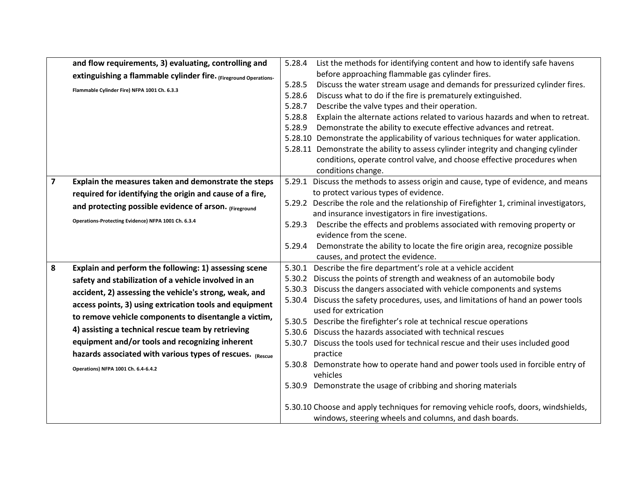|                         | and flow requirements, 3) evaluating, controlling and            | 5.28.4 | List the methods for identifying content and how to identify safe havens                           |
|-------------------------|------------------------------------------------------------------|--------|----------------------------------------------------------------------------------------------------|
|                         | extinguishing a flammable cylinder fire. (Fireground Operations- |        | before approaching flammable gas cylinder fires.                                                   |
|                         | Flammable Cylinder Fire) NFPA 1001 Ch. 6.3.3                     | 5.28.5 | Discuss the water stream usage and demands for pressurized cylinder fires.                         |
|                         |                                                                  | 5.28.6 | Discuss what to do if the fire is prematurely extinguished.                                        |
|                         |                                                                  | 5.28.7 | Describe the valve types and their operation.                                                      |
|                         |                                                                  | 5.28.8 | Explain the alternate actions related to various hazards and when to retreat.                      |
|                         |                                                                  | 5.28.9 | Demonstrate the ability to execute effective advances and retreat.                                 |
|                         |                                                                  |        | 5.28.10 Demonstrate the applicability of various techniques for water application.                 |
|                         |                                                                  |        | 5.28.11 Demonstrate the ability to assess cylinder integrity and changing cylinder                 |
|                         |                                                                  |        | conditions, operate control valve, and choose effective procedures when                            |
|                         |                                                                  |        | conditions change.                                                                                 |
| $\overline{\mathbf{z}}$ | Explain the measures taken and demonstrate the steps             |        | 5.29.1 Discuss the methods to assess origin and cause, type of evidence, and means                 |
|                         | required for identifying the origin and cause of a fire,         |        | to protect various types of evidence.                                                              |
|                         | and protecting possible evidence of arson. (Fireground           |        | 5.29.2 Describe the role and the relationship of Firefighter 1, criminal investigators,            |
|                         | Operations-Protecting Evidence) NFPA 1001 Ch. 6.3.4              |        | and insurance investigators in fire investigations.                                                |
|                         |                                                                  | 5.29.3 | Describe the effects and problems associated with removing property or<br>evidence from the scene. |
|                         |                                                                  | 5.29.4 | Demonstrate the ability to locate the fire origin area, recognize possible                         |
|                         |                                                                  |        | causes, and protect the evidence.                                                                  |
| 8                       | Explain and perform the following: 1) assessing scene            | 5.30.1 | Describe the fire department's role at a vehicle accident                                          |
|                         | safety and stabilization of a vehicle involved in an             | 5.30.2 | Discuss the points of strength and weakness of an automobile body                                  |
|                         |                                                                  | 5.30.3 | Discuss the dangers associated with vehicle components and systems                                 |
|                         | accident, 2) assessing the vehicle's strong, weak, and           | 5.30.4 | Discuss the safety procedures, uses, and limitations of hand an power tools                        |
|                         | access points, 3) using extrication tools and equipment          |        | used for extrication                                                                               |
|                         | to remove vehicle components to disentangle a victim,            | 5.30.5 | Describe the firefighter's role at technical rescue operations                                     |
|                         | 4) assisting a technical rescue team by retrieving               | 5.30.6 | Discuss the hazards associated with technical rescues                                              |
|                         | equipment and/or tools and recognizing inherent                  | 5.30.7 | Discuss the tools used for technical rescue and their uses included good                           |
|                         | hazards associated with various types of rescues. (Rescue        |        | practice                                                                                           |
|                         | Operations) NFPA 1001 Ch. 6.4-6.4.2                              |        | 5.30.8 Demonstrate how to operate hand and power tools used in forcible entry of                   |
|                         |                                                                  |        | vehicles                                                                                           |
|                         |                                                                  |        | 5.30.9 Demonstrate the usage of cribbing and shoring materials                                     |
|                         |                                                                  |        |                                                                                                    |
|                         |                                                                  |        | 5.30.10 Choose and apply techniques for removing vehicle roofs, doors, windshields,                |
|                         |                                                                  |        | windows, steering wheels and columns, and dash boards.                                             |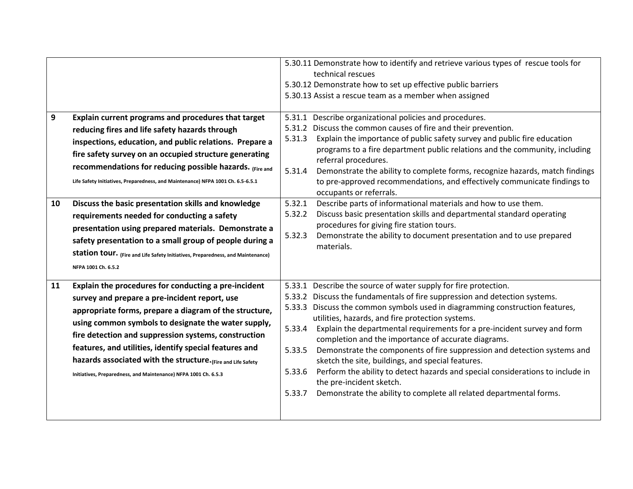|         |                                                                                                                                                                                                                                                                                                                                                                                                                                                                                                                                                                                                                                                                                                              |                                                                    | 5.30.11 Demonstrate how to identify and retrieve various types of rescue tools for<br>technical rescues<br>5.30.12 Demonstrate how to set up effective public barriers<br>5.30.13 Assist a rescue team as a member when assigned                                                                                                                                                                                                                                                                                                                                                                                                                                                                                                                                    |
|---------|--------------------------------------------------------------------------------------------------------------------------------------------------------------------------------------------------------------------------------------------------------------------------------------------------------------------------------------------------------------------------------------------------------------------------------------------------------------------------------------------------------------------------------------------------------------------------------------------------------------------------------------------------------------------------------------------------------------|--------------------------------------------------------------------|---------------------------------------------------------------------------------------------------------------------------------------------------------------------------------------------------------------------------------------------------------------------------------------------------------------------------------------------------------------------------------------------------------------------------------------------------------------------------------------------------------------------------------------------------------------------------------------------------------------------------------------------------------------------------------------------------------------------------------------------------------------------|
| 9<br>10 | Explain current programs and procedures that target<br>reducing fires and life safety hazards through<br>inspections, education, and public relations. Prepare a<br>fire safety survey on an occupied structure generating<br>recommendations for reducing possible hazards. (Fire and<br>Life Safety Initiatives, Preparedness, and Maintenance) NFPA 1001 Ch. 6.5-6.5.1<br>Discuss the basic presentation skills and knowledge<br>requirements needed for conducting a safety<br>presentation using prepared materials. Demonstrate a<br>safety presentation to a small group of people during a<br>Station tour. (Fire and Life Safety Initiatives, Preparedness, and Maintenance)<br>NFPA 1001 Ch. 6.5.2 | 5.31.1<br>5.31.2<br>5.31.3<br>5.31.4<br>5.32.1<br>5.32.2<br>5.32.3 | Describe organizational policies and procedures.<br>Discuss the common causes of fire and their prevention.<br>Explain the importance of public safety survey and public fire education<br>programs to a fire department public relations and the community, including<br>referral procedures.<br>Demonstrate the ability to complete forms, recognize hazards, match findings<br>to pre-approved recommendations, and effectively communicate findings to<br>occupants or referrals.<br>Describe parts of informational materials and how to use them.<br>Discuss basic presentation skills and departmental standard operating<br>procedures for giving fire station tours.<br>Demonstrate the ability to document presentation and to use prepared<br>materials. |
| 11      | Explain the procedures for conducting a pre-incident<br>survey and prepare a pre-incident report, use<br>appropriate forms, prepare a diagram of the structure,<br>using common symbols to designate the water supply,<br>fire detection and suppression systems, construction<br>features, and utilities, identify special features and<br>hazards associated with the structure. (Fire and Life Safety<br>Initiatives, Preparedness, and Maintenance) NFPA 1001 Ch. 6.5.3                                                                                                                                                                                                                                  | 5.33.4<br>5.33.5<br>5.33.6<br>5.33.7                               | 5.33.1 Describe the source of water supply for fire protection.<br>5.33.2 Discuss the fundamentals of fire suppression and detection systems.<br>5.33.3 Discuss the common symbols used in diagramming construction features,<br>utilities, hazards, and fire protection systems.<br>Explain the departmental requirements for a pre-incident survey and form<br>completion and the importance of accurate diagrams.<br>Demonstrate the components of fire suppression and detection systems and<br>sketch the site, buildings, and special features.<br>Perform the ability to detect hazards and special considerations to include in<br>the pre-incident sketch.<br>Demonstrate the ability to complete all related departmental forms.                          |